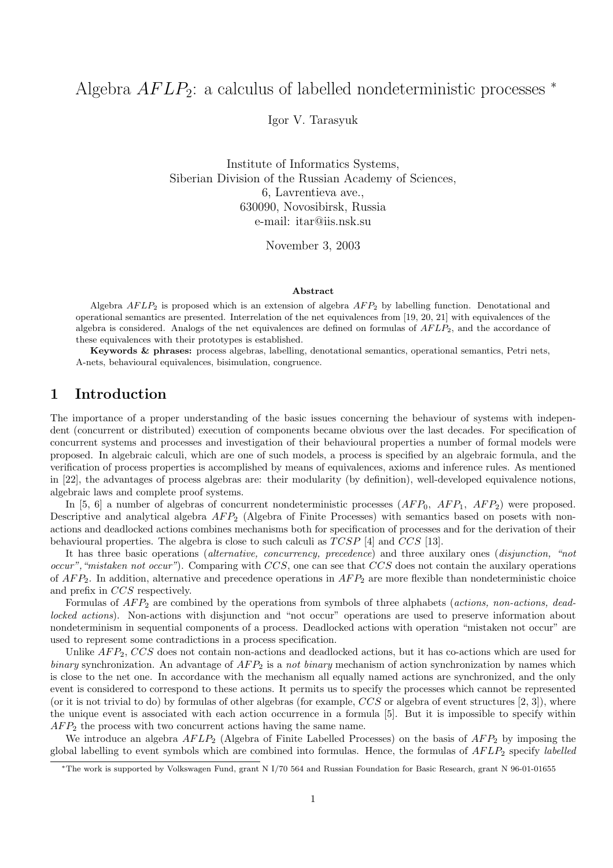# Algebra  $AFLP_2$ : a calculus of labelled nondeterministic processes  $*$

Igor V. Tarasyuk

Institute of Informatics Systems, Siberian Division of the Russian Academy of Sciences, 6, Lavrentieva ave., 630090, Novosibirsk, Russia e-mail: itar@iis.nsk.su

November 3, 2003

#### Abstract

Algebra  $AFLP_2$  is proposed which is an extension of algebra  $AFP_2$  by labelling function. Denotational and operational semantics are presented. Interrelation of the net equivalences from [19, 20, 21] with equivalences of the algebra is considered. Analogs of the net equivalences are defined on formulas of  $AFLP<sub>2</sub>$ , and the accordance of these equivalences with their prototypes is established.

Keywords & phrases: process algebras, labelling, denotational semantics, operational semantics, Petri nets, A-nets, behavioural equivalences, bisimulation, congruence.

# 1 Introduction

The importance of a proper understanding of the basic issues concerning the behaviour of systems with independent (concurrent or distributed) execution of components became obvious over the last decades. For specification of concurrent systems and processes and investigation of their behavioural properties a number of formal models were proposed. In algebraic calculi, which are one of such models, a process is specified by an algebraic formula, and the verification of process properties is accomplished by means of equivalences, axioms and inference rules. As mentioned in [22], the advantages of process algebras are: their modularity (by definition), well-developed equivalence notions, algebraic laws and complete proof systems.

In [5, 6] a number of algebras of concurrent nondeterministic processes  $(AFP_0, AFP_1, AFP_2)$  were proposed. Descriptive and analytical algebra  $AFP_2$  (Algebra of Finite Processes) with semantics based on posets with nonactions and deadlocked actions combines mechanisms both for specification of processes and for the derivation of their behavioural properties. The algebra is close to such calculi as  $T CSP$  [4] and  $CCS$  [13].

It has three basic operations (alternative, concurrency, precedence) and three auxilary ones (disjunction, "not occur", "mistaken not occur"). Comparing with  $CCS$ , one can see that  $CCS$  does not contain the auxilary operations of  $AFP_2$ . In addition, alternative and precedence operations in  $AFP_2$  are more flexible than nondeterministic choice and prefix in CCS respectively.

Formulas of  $AFP_2$  are combined by the operations from symbols of three alphabets (actions, non-actions, deadlocked actions). Non-actions with disjunction and "not occur" operations are used to preserve information about nondeterminism in sequential components of a process. Deadlocked actions with operation "mistaken not occur" are used to represent some contradictions in a process specification.

Unlike  $AFP_2$ ,  $CCS$  does not contain non-actions and deadlocked actions, but it has co-actions which are used for binary synchronization. An advantage of  $AFP_2$  is a not binary mechanism of action synchronization by names which is close to the net one. In accordance with the mechanism all equally named actions are synchronized, and the only event is considered to correspond to these actions. It permits us to specify the processes which cannot be represented (or it is not trivial to do) by formulas of other algebras (for example,  $CCS$  or algebra of event structures [2, 3]), where the unique event is associated with each action occurrence in a formula [5]. But it is impossible to specify within  $AFP<sub>2</sub>$  the process with two concurrent actions having the same name.

We introduce an algebra  $AFLP_2$  (Algebra of Finite Labelled Processes) on the basis of  $AFP_2$  by imposing the global labelling to event symbols which are combined into formulas. Hence, the formulas of  $AFLP_2$  specify labelled

<sup>∗</sup>The work is supported by Volkswagen Fund, grant N I/70 564 and Russian Foundation for Basic Research, grant N 96-01-01655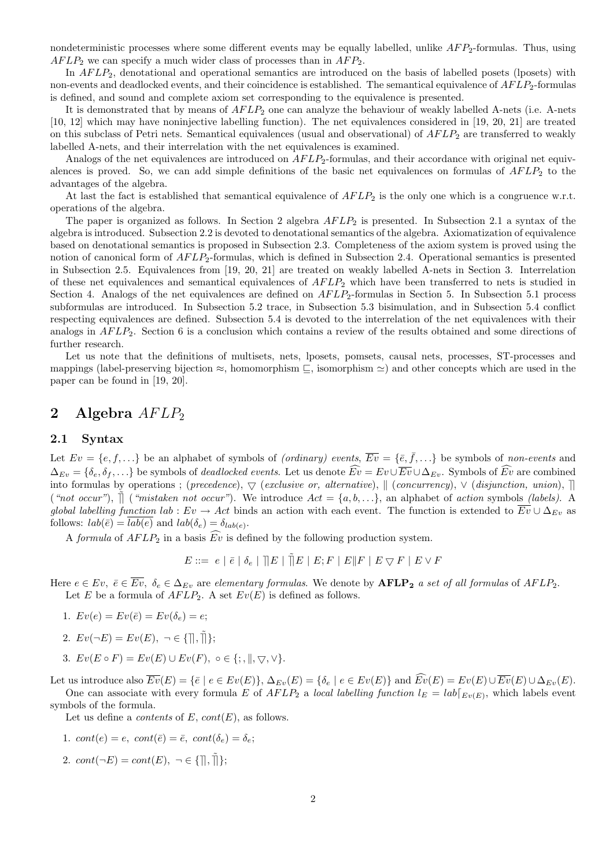nondeterministic processes where some different events may be equally labelled, unlike  $AFP_2$ -formulas. Thus, using  $AFLP_2$  we can specify a much wider class of processes than in  $AFP_2$ .

In  $AFLP_2$ , denotational and operational semantics are introduced on the basis of labelled posets (lposets) with non-events and deadlocked events, and their coincidence is established. The semantical equivalence of  $AFLP_2$ -formulas is defined, and sound and complete axiom set corresponding to the equivalence is presented.

It is demonstrated that by means of  $AFLP_2$  one can analyze the behaviour of weakly labelled A-nets (i.e. A-nets [10, 12] which may have noninjective labelling function). The net equivalences considered in [19, 20, 21] are treated on this subclass of Petri nets. Semantical equivalences (usual and observational) of  $AFLP<sub>2</sub>$  are transferred to weakly labelled A-nets, and their interrelation with the net equivalences is examined.

Analogs of the net equivalences are introduced on  $AFLP<sub>2</sub>$ -formulas, and their accordance with original net equivalences is proved. So, we can add simple definitions of the basic net equivalences on formulas of  $AFLP_2$  to the advantages of the algebra.

At last the fact is established that semantical equivalence of  $AFLP_2$  is the only one which is a congruence w.r.t. operations of the algebra.

The paper is organized as follows. In Section 2 algebra  $AFLP_2$  is presented. In Subsection 2.1 a syntax of the algebra is introduced. Subsection 2.2 is devoted to denotational semantics of the algebra. Axiomatization of equivalence based on denotational semantics is proposed in Subsection 2.3. Completeness of the axiom system is proved using the notion of canonical form of  $AFLP_2$ -formulas, which is defined in Subsection 2.4. Operational semantics is presented in Subsection 2.5. Equivalences from [19, 20, 21] are treated on weakly labelled A-nets in Section 3. Interrelation of these net equivalences and semantical equivalences of  $AFLP<sub>2</sub>$  which have been transferred to nets is studied in Section 4. Analogs of the net equivalences are defined on  $AFLP<sub>2</sub>$ -formulas in Section 5. In Subsection 5.1 process subformulas are introduced. In Subsection 5.2 trace, in Subsection 5.3 bisimulation, and in Subsection 5.4 conflict respecting equivalences are defined. Subsection 5.4 is devoted to the interrelation of the net equivalences with their analogs in  $AFLP_2$ . Section 6 is a conclusion which contains a review of the results obtained and some directions of further research.

Let us note that the definitions of multisets, nets, lposets, pomsets, causal nets, processes, ST-processes and mappings (label-preserving bijection  $\approx$ , homomorphism  $\subseteq$ , isomorphism  $\approx$ ) and other concepts which are used in the paper can be found in [19, 20].

# 2 Algebra  $AFLP_2$

### 2.1 Syntax

Let  $Ev = \{e, f, ...\}$  be an alphabet of symbols of *(ordinary) events*,  $\overline{Ev} = \{\overline{e}, \overline{f}, ...\}$  be symbols of *non-events* and  $\Delta_{Ev} = \{\delta_e, \delta_f, \ldots\}$  be symbols of *deadlocked events*. Let us denote  $\widehat{Ev} = Ev \cup \overline{Ev} \cup \Delta_{Ev}$ . Symbols of  $\widehat{Ev}$  are combined into formulas by operations ; (precedence),  $\bigtriangledown$  (exclusive or, alternative),  $\|$  (concurrency),  $\vee$  (disjunction, union),  $\|$ ("not occur"),  $\parallel$  ("mistaken not occur"). We introduce  $Act = \{a, b, \ldots\}$ , an alphabet of action symbols (labels). A global labelling function lab :  $Ev \to Act$  binds an action with each event. The function is extended to  $\overline{Ev} \cup \Delta_{Ev}$  as follows:  $lab(\bar{e}) = lab(e)$  and  $lab(\delta_e) = \delta_{lab(e)}$ .

A formula of  $AFLP_2$  in a basis  $\widehat{Ev}$  is defined by the following production system.

 $E ::= \begin{array}{c|c|c|c} e & \bar{e} & \bar{e} & \bar{e} & \bar{e} & \bar{e} & \bar{e} & \bar{e} & \bar{e} & \bar{e} & \bar{e} & \bar{e} & \bar{e} & \bar{e} & \bar{e} & \bar{e} & \bar{e} & \bar{e} & \bar{e} & \bar{e} & \bar{e} & \bar{e} & \bar{e} & \bar{e} & \bar{e} & \bar{e} & \bar{e} & \bar{e} & \bar{e} & \bar{e} & \bar{e} & \bar{e} & \bar{e} & \bar{e} & \bar{e}$ 

Here  $e \in Ev$ ,  $\bar{e} \in \overline{Ev}$ ,  $\delta_e \in \Delta_{Ev}$  are elementary formulas. We denote by  $\text{AFLP}_2$  a set of all formulas of  $AFLP_2$ . Let E be a formula of  $AFLP_2$ . A set  $Ev(E)$  is defined as follows.

- 1.  $Ev(e) = Ev(\bar{e}) = Ev(\delta_e) = e;$
- 2.  $Ev(\neg E) = Ev(E), \neg \in \{\parallel, \tilde{\parallel}\};$
- 3.  $Ev(E \circ F) = Ev(E) \cup Ev(F)$ ,  $\circ \in \{; , \|, \bigtriangledown, \vee\}.$

Let us introduce also  $\overline{Ev}(E) = \{\overline{e} \mid e \in Ev(E)\}, \Delta_{Ev}(E) = \{\delta_e \mid e \in Ev(E)\}$  and  $\widehat{Ev}(E) = Ev(E) \cup \overline{Ev}(E) \cup \Delta_{Ev}(E)$ . One can associate with every formula E of  $AFLP_2$  a local labelling function  $l_E = lab|_{Ev(E)}$ , which labels event symbols of the formula.

Let us define a *contents* of  $E$ ,  $cont(E)$ , as follows.

- 1.  $cont(e) = e$ ,  $cont(\bar{e}) = \bar{e}$ ,  $cont(\delta_e) = \delta_{\epsilon}$ ;
- 2.  $cont(\neg E) = cont(E), \ \neg \in \{\parallel, \tilde{\parallel}\};$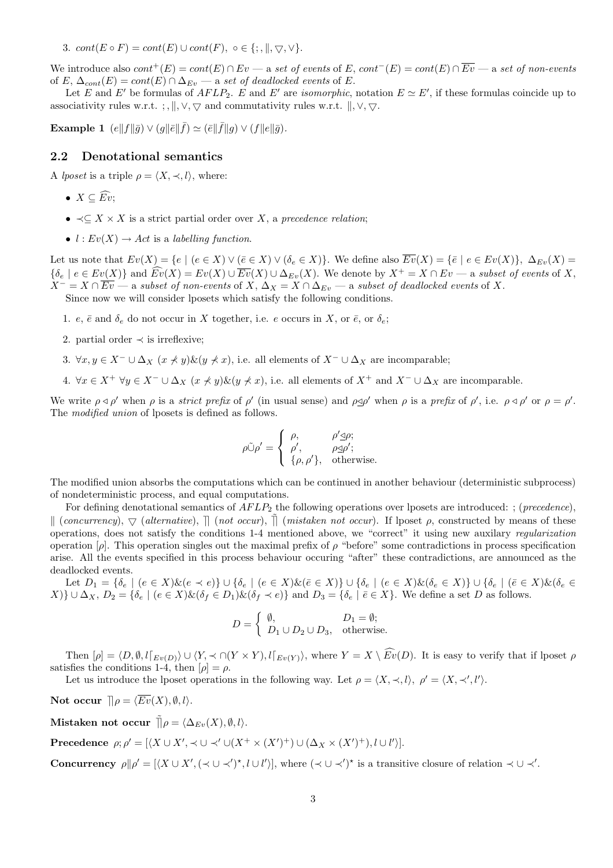3.  $cont(E \circ F) = cont(E) \cup cont(F), \circ \in \{; \|, \nabla, \vee\}.$ 

We introduce also  $cont^+(E) = cont(E) \cap Ev - a$  set of events of E,  $cont^-(E) = cont(E) \cap \overline{Ev} - a$  set of non-events of E,  $\Delta_{cont}(E) = cont(E) \cap \Delta_{Ev}$  — a set of deadlocked events of E.

Let E and E' be formulas of  $AFLP_2$ . E and E' are *isomorphic*, notation  $E \simeq E'$ , if these formulas coincide up to associativity rules w.r.t. ; ,  $\parallel$ ,  $\lor$ ,  $\nabla$  and commutativity rules w.r.t.  $\parallel$ ,  $\lor$ ,  $\nabla$ .

Example 1  $(e||f||\bar{g}) \vee (g||\bar{e}||\bar{f}) \simeq (\bar{e}||\bar{f}||g) \vee (f||e||\bar{g}).$ 

### 2.2 Denotational semantics

A *lposet* is a triple  $\rho = \langle X, \prec, l \rangle$ , where:

- $X \subseteq \widehat{Ev}$ ;
- $\prec \subseteq X \times X$  is a strict partial order over X, a precedence relation;
- $l: Ev(X) \to Act$  is a labelling function.

Let us note that  $Ev(X) = \{e \mid (e \in X) \vee (\bar{e} \in X) \vee (\delta_e \in X)\}\)$ . We define also  $\overline{Ev}(X) = \{\bar{e} \mid e \in Ev(X)\}\$ ,  $\Delta_{Ev}(X) = \{\bar{e} \mid e \in Ev(X)\}$  ${\{\delta_e \mid e \in Ev(X)\}}$  and  $\widehat{Ev}(X) = Ev(X) \cup \overline{Ev}(X) \cup \Delta_{Ev}(X)$ . We denote by  $X^+ = X \cap Ev -$  a subset of events of X,  $X^- = X \cap \overline{Ev}$  — a subset of non-events of X,  $\Delta_X = X \cap \Delta_{Ev}$  — a subset of deadlocked events of X. Since now we will consider lposets which satisfy the following conditions.

- 1. e,  $\bar{e}$  and  $\delta_e$  do not occur in X together, i.e. e occurs in X, or  $\bar{e}$ , or  $\delta_e$ ;
- 2. partial order  $\prec$  is irreflexive:
- 3.  $\forall x, y \in X^- \cup \Delta_X$  ( $x \not\prec y$ )&( $y \not\prec x$ ), i.e. all elements of  $X^- \cup \Delta_X$  are incomparable;
- 4.  $\forall x \in X^+ \ \forall y \in X^- \cup \Delta_X \ (x \nless y) \& (y \nless z)$ , i.e. all elements of  $X^+$  and  $X^- \cup \Delta_X$  are incomparable.

We write  $\rho \triangleleft \rho'$  when  $\rho$  is a *strict prefix* of  $\rho'$  (in usual sense) and  $\rho \trianglelefteq \rho'$  when  $\rho$  is a prefix of  $\rho'$ , i.e.  $\rho \triangleleft \rho'$  or  $\rho = \rho'$ . The *modified union* of lposets is defined as follows.

$$
\rho \tilde{\cup} \rho' = \begin{cases} \rho, & \rho' \leq \rho; \\ \rho', & \rho \leq \rho'; \\ \{\rho, \rho'\}, & \text{otherwise.} \end{cases}
$$

The modified union absorbs the computations which can be continued in another behaviour (deterministic subprocess) of nondeterministic process, and equal computations.

For defining denotational semantics of  $AFLP_2$  the following operations over lposets are introduced: ; (*precedence*),  $\parallel$  (concurrency),  $\bigtriangledown$  (alternative),  $\parallel$  (not occur),  $\parallel$  (mistaken not occur). If lposet  $\rho$ , constructed by means of these operations, does not satisfy the conditions 1-4 mentioned above, we "correct" it using new auxilary regularization operation [ρ]. This operation singles out the maximal prefix of ρ "before" some contradictions in process specification arise. All the events specified in this process behaviour occuring "after" these contradictions, are announced as the deadlocked events.

Let  $D_1 = \{\delta_e \mid (e \in X)\& (e \prec e)\}\cup \{\delta_e \mid (e \in X)\& (e \in X)\}\cup \{\delta_e \mid (e \in X)\& ( \delta_e \in X)\}\cup \{\delta_e \mid (e \in X)\& (e \in X)\}\cup \{\delta_e \mid (e \in X)\& (e \in X)\}\cup \{\delta_e \mid (e \in X)\& (e \in X)\}\cup \{\delta_e \mid (e \in X)\& (e \in X)\}\cup \{\delta_e \mid (e \in X)\& (e \in X)\}\cup \{\delta_e \mid (e \in X)\& (e \in X)\}\cup \{\delta_e \mid (e \in X)\& (e \in X)\}& ($ X)}  $\cup \Delta_X$ ,  $D_2 = \{\delta_e \mid (e \in X) \& (\delta_f \in D_1) \& (\delta_f \prec e) \}$  and  $D_3 = \{\delta_e \mid \overline{e} \in X\}$ . We define a set D as follows.

$$
D = \begin{cases} \emptyset, & D_1 = \emptyset; \\ D_1 \cup D_2 \cup D_3, & \text{otherwise.} \end{cases}
$$

Then  $[\rho] = \langle D, \emptyset, l|_{E_v(D)} \rangle \cup \langle Y, \prec \cap(Y \times Y), l|_{E_v(Y)} \rangle$ , where  $Y = X \setminus \widehat{Ev}(D)$ . It is easy to verify that if lposet  $\rho$ satisfies the conditions 1-4, then  $[\rho] = \rho$ .

Let us introduce the lposet operations in the following way. Let  $\rho = \langle X, \prec, l \rangle$ ,  $\rho' = \langle X, \prec', l' \rangle$ .

Not occur  $\mathcal{L} = \langle \overline{Ev}(X), \emptyset, l \rangle$ .

Mistaken not occur  $\tilde{\parallel} \rho = \langle \Delta_{Ev}(X), \emptyset, l \rangle$ .

Precedence  $\rho; \rho' = [\langle X \cup X', \prec \cup \prec' \cup (X^+ \times (X')^+) \cup (\Delta_X \times (X')^+), l \cup l' \rangle].$ 

Concurrency  $\rho || \rho' = [\langle X \cup X', (\prec \cup \prec')^*, l \cup l' \rangle],$  where  $(\prec \cup \prec')^*$  is a transitive closure of relation  $\prec \cup \prec'$ .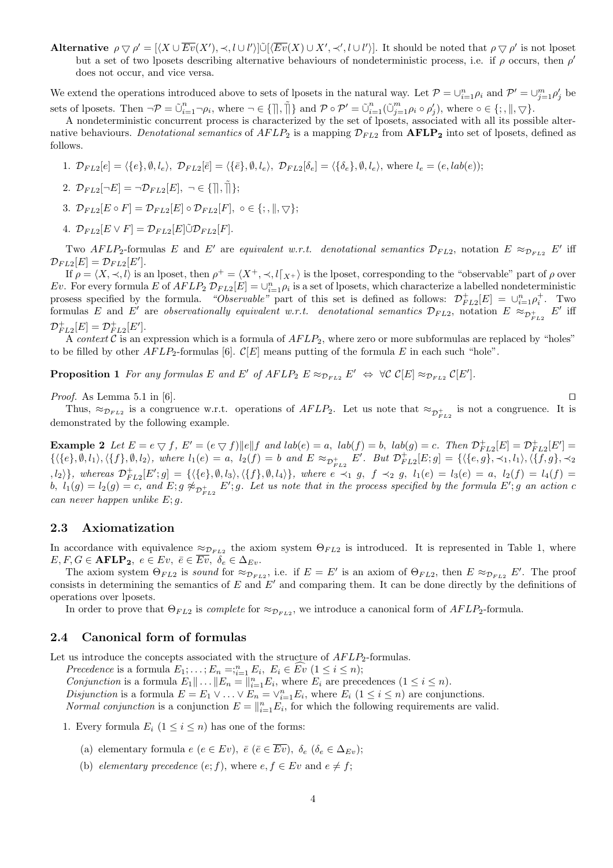Alternative  $\rho \nabla \rho' = [\langle X \cup \overline{Ev}(X'), \prec, l \cup l' \rangle] \tilde{\cup} [\langle \overline{Ev}(X) \cup X', \prec', l \cup l' \rangle]$ . It should be noted that  $\rho \nabla \rho'$  is not lposet but a set of two lposets describing alternative behaviours of nondeterministic process, i.e. if  $\rho$  occurs, then  $\rho'$ does not occur, and vice versa.

We extend the operations introduced above to sets of lposets in the natural way. Let  $\mathcal{P} = \bigcup_{i=1}^n \rho_i$  and  $\mathcal{P}' = \bigcup_{j=1}^m \rho'_j$  be sets of lposets. Then  $\neg \mathcal{P} = \tilde{\cup}_{i=1}^n \neg \rho_i$ , where  $\neg \in \{\parallel, \tilde{\parallel}\}$  and  $\mathcal{P} \circ \mathcal{P}' = \tilde{\cup}_{i=1}^n (\tilde{\cup}_{j=1}^m \rho_i \circ \rho'_j)$ , where  $\circ \in \{\, ; \parallel, \bigtriangledown\}$ .

A nondeterministic concurrent process is characterized by the set of lposets, associated with all its possible alternative behaviours. Denotational semantics of  $AFLP_2$  is a mapping  $\mathcal{D}_{FL2}$  from  $\textbf{AFLP}_2$  into set of lposets, defined as follows.

1.  $\mathcal{D}_{FL2}[e] = \langle \{e\}, \emptyset, l_e \rangle, \ \mathcal{D}_{FL2}[\bar{e}] = \langle \{\bar{e}\}, \emptyset, l_e \rangle, \ \mathcal{D}_{FL2}[\delta_e] = \langle \{\delta_e\}, \emptyset, l_e \rangle, \text{ where } l_e = (e, lab(e));$ 

2. 
$$
\mathcal{D}_{FL2}[\neg E] = \neg \mathcal{D}_{FL2}[E], \neg \in \{\rceil\}, \rceil\}
$$
;

- 3.  $\mathcal{D}_{FL2}[E \circ F] = \mathcal{D}_{FL2}[E] \circ \mathcal{D}_{FL2}[F], \circ \in \{; \, \|, \bigtriangledown\};$
- 4.  $\mathcal{D}_{FL2}[E \vee F] = \mathcal{D}_{FL2}[E] \tilde{\cup} \mathcal{D}_{FL2}[F].$

Two AFLP<sub>2</sub>-formulas E and E' are equivalent w.r.t. denotational semantics  $\mathcal{D}_{FL2}$ , notation E  $\approx_{\mathcal{D}_{FL2}} E'$  iff  $\mathcal{D}_{FL2}[E] = \mathcal{D}_{FL2}[E'].$ 

If  $\rho = \langle X, \prec, l \rangle$  is an lposet, then  $\rho^+ = \langle X^+, \prec, l \rangle$  is the lposet, corresponding to the "observable" part of  $\rho$  over Ev. For every formula E of  $AFLP_2 \mathcal{D}_{FL2}[E] = \bigcup_{i=1}^{n} \rho_i$  is a set of lposets, which characterize a labelled nondeterministic prosess specified by the formula. "Observable" part of this set is defined as follows:  $\mathcal{D}_{FL2}^+[E] = \cup_{i=1}^n \rho_i^+$ . Two formulas E and E' are observationally equivalent w.r.t. denotational semantics  $\mathcal{D}_{FL2}$ , notation  $E \approx_{\mathcal{D}_{FL2}^+} E'$  iff  $\mathcal{D}_{FL2}^+[E] = \mathcal{D}_{FL2}^+[E'].$ 

A context C is an expression which is a formula of  $AFLP<sub>2</sub>$ , where zero or more subformulas are replaced by "holes" to be filled by other  $AFLP_2$ -formulas [6].  $\mathcal{C}[E]$  means putting of the formula E in each such "hole".

**Proposition 1** For any formulas E and E' of  $AFLP_2$   $E \approx_{D_{FL2}} E' \Leftrightarrow \forall \mathcal{C} \mathcal{C}[E] \approx_{D_{FL2}} \mathcal{C}[E']$ .

*Proof.* As Lemma 5.1 in [6].  $\square$ 

Thus,  $\approx_{\mathcal{D}_{FL2}}$  is a congruence w.r.t. operations of  $AFLP_2$ . Let us note that  $\approx_{\mathcal{D}_{FL2}^+}$  is not a congruence. It is demonstrated by the following example.

**Example 2** Let  $E = e \bigtriangledown f$ ,  $E' = (e \bigtriangledown f) ||e|| f$  and  $lab(e) = a$ ,  $lab(f) = b$ ,  $lab(g) = c$ . Then  $\mathcal{D}_{FL2}^+[E] = \mathcal{D}_{FL2}^+[E'] =$  $\{\langle \{e\}, \emptyset, l_1 \rangle, \langle \{f\}, \emptyset, l_2 \rangle, \text{ where } l_1(e) = a, l_2(f) = b \text{ and } E \approx_{\mathcal{D}_{FL2}^+} E'. \text{ But } \mathcal{D}_{FL2}^+[E; g] = \{\langle \{e, g\}, \prec_1, l_1 \rangle, \langle \{f, g\}, \prec_2 \rangle\}$  $\{h_1, h_2\},$  whereas  $\mathcal{D}_{FL2}^+[E';g] = \{ \langle \{e\}, \emptyset, l_3\rangle, \langle \{f\}, \emptyset, l_4\rangle \},$  where  $e \stackrel{\sim}{\prec_1} g$ ,  $f \prec_2 g$ ,  $l_1(e) = l_3(e) = a$ ,  $l_2(f) = l_4(f) = b$ b,  $l_1(g) = l_2(g) = c$ , and  $E; g \not\approx_{\mathcal{D}_{FL2}^+} E'; g$ . Let us note that in the process specified by the formula  $E'; g$  an action c can never happen unlike  $E$ ; q.

## 2.3 Axiomatization

In accordance with equivalence  $\approx_{\mathcal{D}_{FL2}}$  the axiom system  $\Theta_{FL2}$  is introduced. It is represented in Table 1, where  $E, F, G \in \textbf{AFLP}_2, e \in Ev, \ \overline{e} \in \overline{Ev}, \ \delta_e \in \Delta_{Ev}.$ 

The axiom system  $\Theta_{FL2}$  is sound for  $\approx_{\mathcal{D}_{FL2}}$ , i.e. if  $E = E'$  is an axiom of  $\Theta_{FL2}$ , then  $E \approx_{\mathcal{D}_{FL2}} E'$ . The proof consists in determining the semantics of  $E$  and  $E'$  and comparing them. It can be done directly by the definitions of operations over lposets.

In order to prove that  $\Theta_{FL2}$  is *complete* for  $\approx_{\mathcal{D}_{FL2}}$ , we introduce a canonical form of  $AFLP_2$ -formula.

## 2.4 Canonical form of formulas

Let us introduce the concepts associated with the structure of  $AFLP<sub>2</sub>$ -formulas.

Precedence is a formula  $E_1; \ldots; E_n =;_{i=1}^n E_i, E_i \in \widehat{Ev}$   $(1 \leq i \leq n);$ Conjunction is a formula  $E_1 \| \dots \| E_n = \|_{i=1}^n E_i$ , where  $E_i$  are precedences  $(1 \leq i \leq n)$ . Disjunction is a formula  $E = E_1 \vee \ldots \vee E_n = \vee_{i=1}^n E_i$ , where  $E_i$   $(1 \leq i \leq n)$  are conjunctions. *Normal conjunction* is a conjunction  $E = ||_{i=1}^{n} E_i$ , for which the following requirements are valid.

- 1. Every formula  $E_i$   $(1 \leq i \leq n)$  has one of the forms:
	- (a) elementary formula  $e(e \in Ev)$ ,  $\overline{e}(\overline{e} \in \overline{Ev})$ ,  $\delta_e(\delta_e \in \Delta_{Ev})$ ;
	- (b) elementary precedence  $(e; f)$ , where  $e, f \in Ev$  and  $e \neq f$ ;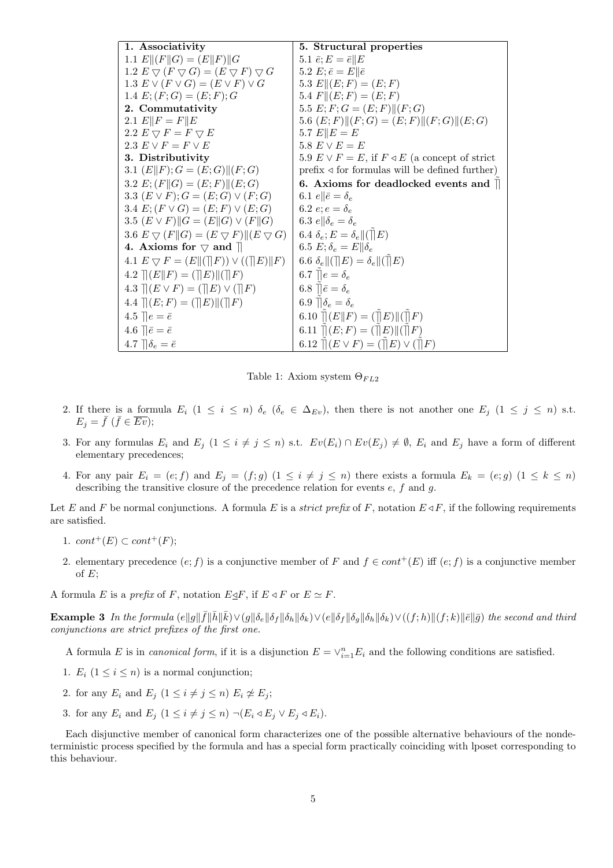| 1. Associativity                                                                            | 5. Structural properties                                         |
|---------------------------------------------------------------------------------------------|------------------------------------------------------------------|
| 1.1 $E  (F  G) = (E  F)  G$                                                                 | 5.1 $\bar{e}$ ; $E = \bar{e}    E$                               |
| 1.2 $E \bigtriangledown (F \bigtriangledown G) = (E \bigtriangledown F) \bigtriangledown G$ | 5.2 $E; \bar{e} = E    \bar{e}$                                  |
| 1.3 $E \vee (F \vee G) = (E \vee F) \vee G$                                                 | 5.3 $E  (E;F) = (E;F)$                                           |
| 1.4 $E$ ; $(F; G) = (E; F); G$                                                              | 5.4 $F  (E;F) = (E;F)$                                           |
| 2. Commutativity                                                                            | 5.5 $E; F; G = (E; F)    (F; G)$                                 |
| 2.1 $E  F = F  E$                                                                           | 5.6 $(E; F)$ $  (F; G) = (E; F)   (F; G)   (E; G)$               |
| 2.2 $E \bigtriangledown F = F \bigtriangledown E$                                           | 5.7 $E  E = E$                                                   |
| 2.3 $E \vee F = F \vee E$                                                                   | 5.8 $E \vee E = E$                                               |
| 3. Distributivity                                                                           | 5.9 $E \vee F = E$ , if $F \triangleleft E$ (a concept of strict |
| 3.1 $(E  F); G = (E;G)  (F;G)$                                                              | $prefix \triangleleft for formulas will be defined further)$     |
| 3.2 $E$ ; $(F  G) = (E; F)  (E; G)$                                                         | 6. Axioms for deadlocked events and $\parallel$                  |
| 3.3 $(E \vee F); G = (E; G) \vee (F; G)$                                                    | 6.1 $e \parallel \bar{e} = \delta_e$                             |
| 3.4 $E: (F \vee G) = (E; F) \vee (E; G)$                                                    | 6.2 $e; e = \delta_e$                                            |
| 3.5 $(E \vee F)$ $\Vert G = (E \Vert G) \vee (F \Vert G)$                                   | 6.3 $e \parallel \delta_e = \delta_e$                            |
| 3.6 $E \bigtriangledown (F \Vert G) = (E \bigtriangledown F) \Vert (E \bigtriangledown G)$  | 6.4 $\delta_e$ ; $E = \delta_e   (  E)$                          |
| 4. Axioms for $\triangledown$ and $\Vert$                                                   | 6.5 $E; \delta_e = E    \delta_e$                                |
| 4.1 $E \bigtriangledown F = (E \  (\ F)) \vee ((\ E)\ F)$                                   | 6.6 $\delta_e   (\rVert E) = \delta_e   (\rVert E)$              |
| 4.2 $\ (E\ F) = (\ E\  \ F)$                                                                | 6.7 $\mathbb{R}e = \delta_e$                                     |
| 4.3 $\  (E \vee F) = (\  E) \vee (\  F)$                                                    | 6.8 $\mathbb{\bar{e}} = \delta_e$                                |
| 4.4 $\ (E;F)=(\ E)\ (\ F)$                                                                  | 6.9 $\mathcal{A}_{e} = \delta_{e}$                               |
| 4.5 $\ \hat{e} = \bar{e}\ $                                                                 | 6.10 $  E  F  = (  E  E  )(  F)$                                 |
| 4.6 $\left  \bar{e} = \bar{e} \right $                                                      | 6.11 $\ (E;F)=(\ E)\ (\ F)$                                      |
| 4.7 $\mathcal{b}_e = \bar{e}$                                                               | 6.12 $\ (E \vee F) = (\ E) \vee (\ F)$                           |

Table 1: Axiom system  $\Theta_{FL2}$ 

- 2. If there is a formula  $E_i$   $(1 \leq i \leq n)$   $\delta_e$   $(\delta_e \in \Delta_{Ev})$ , then there is not another one  $E_j$   $(1 \leq j \leq n)$  s.t.  $E_j = \bar{f} \; (\bar{f} \in \overline{Ev});$
- 3. For any formulas  $E_i$  and  $E_j$   $(1 \leq i \neq j \leq n)$  s.t.  $Ev(E_i) \cap Ev(E_j) \neq \emptyset$ ,  $E_i$  and  $E_j$  have a form of different elementary precedences;
- 4. For any pair  $E_i = (e; f)$  and  $E_j = (f; g)$   $(1 \leq i \neq j \leq n)$  there exists a formula  $E_k = (e; g)$   $(1 \leq k \leq n)$ describing the transitive closure of the precedence relation for events  $e, f$  and  $g$ .

Let E and F be normal conjunctions. A formula E is a *strict prefix* of F, notation  $E \triangleleft F$ , if the following requirements are satisfied.

- 1.  $cont^+(E) \subset cont^+(F)$ ;
- 2. elementary precedence  $(e; f)$  is a conjunctive member of F and  $f \in cont^+(E)$  iff  $(e; f)$  is a conjunctive member of  $E$ ;
- A formula E is a prefix of F, notation E $\triangle F$ , if  $E \triangleleft F$  or  $E \simeq F$ .

**Example 3** In the formula  $(e||g||\bar{f}||\bar{h}||\bar{k}) \vee (g||\delta_e||\delta_f||\delta_h||\delta_k) \vee (e||\delta_f||\delta_g||\delta_h||\delta_k) \vee ((f; h)||(f; k)||\bar{e}||\bar{g})$  the second and third conjunctions are strict prefixes of the first one.

A formula E is in *canonical form*, if it is a disjunction  $E = \vee_{i=1}^{n} E_i$  and the following conditions are satisfied.

- 1.  $E_i$   $(1 \leq i \leq n)$  is a normal conjunction;
- 2. for any  $E_i$  and  $E_j$   $(1 \leq i \neq j \leq n)$   $E_i \not\cong E_j$ ;
- 3. for any  $E_i$  and  $E_j$   $(1 \leq i \neq j \leq n) \neg (E_i \triangleleft E_j \vee E_j \triangleleft E_i)$ .

Each disjunctive member of canonical form characterizes one of the possible alternative behaviours of the nondeterministic process specified by the formula and has a special form practically coinciding with lposet corresponding to this behaviour.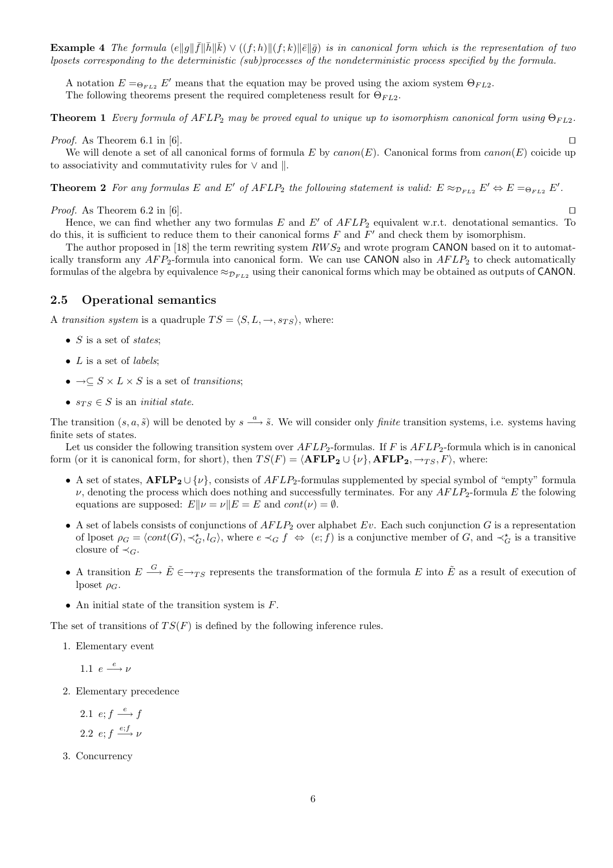**Example 4** The formula  $(e||g||\bar{f}||\bar{h}||\bar{k}) \vee ((f; h)||(f; k)||\bar{e}||\bar{g})$  is in canonical form which is the representation of two lposets corresponding to the deterministic (sub)processes of the nondeterministic process specified by the formula.

A notation  $E = \bigoplus_{F \in L_2} E'$  means that the equation may be proved using the axiom system  $\bigoplus_{F \in L_2} E'$ . The following theorems present the required completeness result for  $\Theta_{FL2}$ .

**Theorem 1** Every formula of  $AFLP_2$  may be proved equal to unique up to isomorphism canonical form using  $\Theta_{FL2}$ .

*Proof.* As Theorem 6.1 in [6].  $\square$ 

We will denote a set of all canonical forms of formula E by  $canon(E)$ . Canonical forms from  $canon(E)$  coicide up to associativity and commutativity rules for  $\vee$  and  $\parallel$ .

**Theorem 2** For any formulas E and E' of AFLP<sub>2</sub> the following statement is valid:  $E \approx_{D_{FL2}} E' \Leftrightarrow E =_{\Theta_{FL2}} E'$ .

*Proof.* As Theorem 6.2 in [6].  $\square$ 

Hence, we can find whether any two formulas E and E' of  $AFLP_2$  equivalent w.r.t. denotational semantics. To do this, it is sufficient to reduce them to their canonical forms  $F$  and  $F'$  and check them by isomorphism.

The author proposed in [18] the term rewriting system  $RWS_2$  and wrote program CANON based on it to automatically transform any  $AFP_2$ -formula into canonical form. We can use CANON also in  $AFLP_2$  to check automatically formulas of the algebra by equivalence  $\approx_{\mathcal{D}_{FL2}}$  using their canonical forms which may be obtained as outputs of CANON.

## 2.5 Operational semantics

A transition system is a quadruple  $TS = \langle S, L, \rightarrow, s_{TS} \rangle$ , where:

- $S$  is a set of *states*;
- $L$  is a set of *labels*;
- $\rightarrow \subseteq S \times L \times S$  is a set of transitions;
- $s_{TS} \in S$  is an *initial state*.

The transition  $(s, a, \tilde{s})$  will be denoted by  $s \stackrel{a}{\longrightarrow} \tilde{s}$ . We will consider only *finite* transition systems, i.e. systems having finite sets of states.

Let us consider the following transition system over  $AFLP_2$ -formulas. If F is  $AFLP_2$ -formula which is in canonical form (or it is canonical form, for short), then  $TS(F) = \langle AFLP_2 \cup \{v\}, AFLP_2, \rightarrow_{TS} F \rangle$ , where:

- A set of states,  $\text{AFLP}_2 \cup \{\nu\}$ , consists of  $AFLP_2$ -formulas supplemented by special symbol of "empty" formula  $\nu$ , denoting the process which does nothing and successfully terminates. For any  $AFLP_2$ -formula E the folowing equations are supposed:  $E\|\nu = \nu\|E = E$  and  $cont(\nu) = \emptyset$ .
- A set of labels consists of conjunctions of  $AFLP_2$  over alphabet Ev. Each such conjunction G is a representation of lposet  $\rho_G = \langle cont(G), \prec_G^{\star}, l_G \rangle$ , where  $e \prec_G f \Leftrightarrow (e; f)$  is a conjunctive member of G, and  $\prec_G^{\star}$  is a transitive closure of  $\prec_G$ .
- A transition  $E \stackrel{G}{\longrightarrow} \tilde{E} \in \to_{TS}$  represents the transformation of the formula E into  $\tilde{E}$  as a result of execution of lposet  $\rho_G$ .
- An initial state of the transition system is  $F$ .

The set of transitions of  $TS(F)$  is defined by the following inference rules.

1. Elementary event

1.1  $e \xrightarrow{e} \nu$ 

2. Elementary precedence

2.1  $e; f \stackrel{e}{\longrightarrow} f$ 2.2  $e; f \stackrel{e;f}{\longrightarrow} \nu$ 

3. Concurrency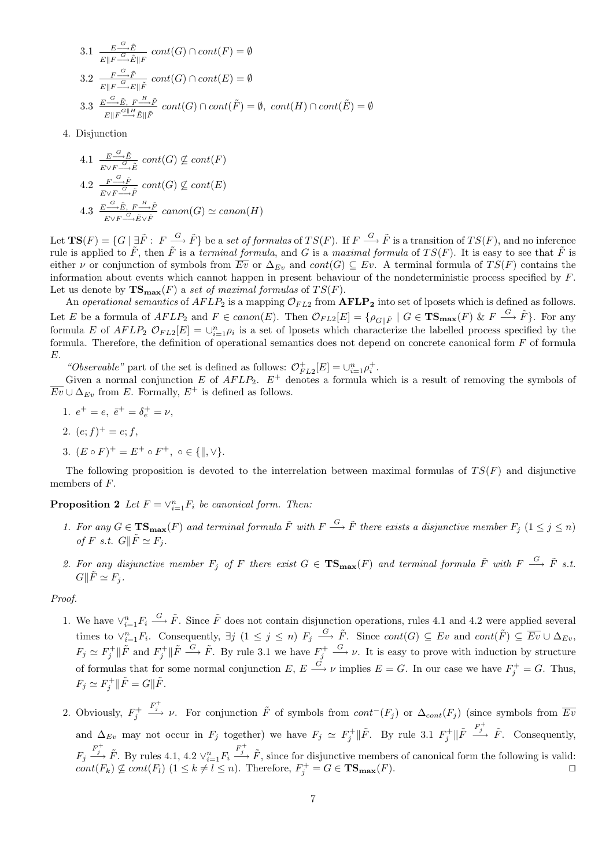3.1 
$$
\frac{E \xrightarrow{G} \tilde{E}}{E \| F \xrightarrow{G} \tilde{E} \| F} cont(G) \cap cont(F) = \emptyset
$$
  
3.2 
$$
\frac{F \xrightarrow{G} \tilde{F}}{E \| F \xrightarrow{G} E \| \tilde{F}} cont(G) \cap cont(E) = \emptyset
$$
  
3.3 
$$
\frac{E \xrightarrow{G} \tilde{E}, F \xrightarrow{H} \tilde{F}}{E \| F \xrightarrow{G} \tilde{E} \| \tilde{F}} cont(G) \cap cont(\tilde{F}) = \emptyset, cont(H) \cap cont(\tilde{E}) = \emptyset
$$

4. Disjunction

4.1 
$$
\frac{E \xrightarrow{G} \tilde{E}}{E \vee F \xrightarrow{G} \tilde{E}}
$$
 cont(G)  $\not\subseteq$  cont(F)  
\n4.2  $\frac{F \xrightarrow{G} \tilde{F}}{E \vee F \xrightarrow{G} \tilde{F}}$  cont(G)  $\not\subseteq$  cont(E)  
\n4.3  $\frac{E \xrightarrow{G} \tilde{E}, F \xrightarrow{H} \tilde{F}}{E \vee F \xrightarrow{G} \tilde{E} \vee \tilde{F}}$  canon(G)  $\simeq$  canon(H)

Let  $TS(F) = \{G \mid \exists \tilde{F} : F \stackrel{G}{\longrightarrow} \tilde{F} \}$  be a set of formulas of  $TS(F)$ . If  $F \stackrel{G}{\longrightarrow} \tilde{F}$  is a transition of  $TS(F)$ , and no inference rule is applied to  $\tilde{F}$ , then  $\tilde{F}$  is a terminal formula, and G is a maximal formula of  $TS(F)$ . It is easy to see that  $\tilde{F}$  is either v or conjunction of symbols from  $\overline{Ev}$  or  $\Delta_{Ev}$  and  $cont(G) \subseteq Ev$ . A terminal formula of  $TS(F)$  contains the information about events which cannot happen in present behaviour of the nondeterministic process specified by F. Let us denote by  $\mathbf{TS}_{\text{max}}(F)$  a set of maximal formulas of  $TS(F)$ .

An operational semantics of  $AFLP_2$  is a mapping  $\mathcal{O}_{FL2}$  from  $\text{AFLP}_2$  into set of lposets which is defined as follows. Let E be a formula of  $AFLP_2$  and  $F \in canon(E)$ . Then  $\mathcal{O}_{FL2}[E] = \{ \rho_{G \parallel \tilde{F}} \mid G \in \mathbf{TS}_{\mathbf{max}}(F) \& F \stackrel{G}{\longrightarrow} \tilde{F} \}$ . For any formula E of  $AFLP_2 \mathcal{O}_{FL2}[E] = \bigcup_{i=1}^n \rho_i$  is a set of lposets which characterize the labelled process specified by the formula. Therefore, the definition of operational semantics does not depend on concrete canonical form  $F$  of formula E.

"Observable" part of the set is defined as follows:  $\mathcal{O}_{FL2}^+[E] = \cup_{i=1}^n \rho_i^+$ .

Given a normal conjunction E of  $AFLP_2$ .  $E^+$  denotes a formula which is a result of removing the symbols of  $\overline{Ev} \cup \Delta_{Ev}$  from E. Formally,  $E^+$  is defined as follows.

- 1.  $e^+ = e$ ,  $\bar{e}^+ = \delta_e^+ = \nu$ ,
- 2.  $(e; f)^+ = e; f$ ,
- 3.  $(E \circ F)^{+} = E^{+} \circ F^{+}$ ,  $\circ \in \{ \parallel, \vee \}.$

The following proposition is devoted to the interrelation between maximal formulas of  $TS(F)$  and disjunctive members of F.

**Proposition 2** Let  $F = \vee_{i=1}^{n} F_i$  be canonical form. Then:

- 1. For any  $G \in \mathbf{TS}_{\max}(F)$  and terminal formula  $\tilde{F}$  with  $F \stackrel{G}{\longrightarrow} \tilde{F}$  there exists a disjunctive member  $F_j$   $(1 \leq j \leq n)$ of F s.t.  $G\Vert \tilde{F} \simeq F_i$ .
- 2. For any disjunctive member  $F_j$  of F there exist  $G \in \mathbf{TS_{max}}(F)$  and terminal formula  $\tilde{F}$  with  $F \stackrel{G}{\longrightarrow} \tilde{F}$  s.t.  $G\Vert \tilde{F} \simeq F_i$ .

#### Proof.

- 1. We have  $\vee_{i=1}^{n} F_i \stackrel{G}{\longrightarrow} \tilde{F}$ . Since  $\tilde{F}$  does not contain disjunction operations, rules 4.1 and 4.2 were applied several times to  $\vee_{i=1}^{n} F_i$ . Consequently,  $\exists j \ (1 \leq j \leq n)$   $F_j \stackrel{G}{\longrightarrow} \tilde{F}$ . Since  $cont(G) \subseteq Ev$  and  $cont(\tilde{F}) \subseteq \overline{Ev} \cup \Delta_{Ev}$ ,  $F_j \simeq F_j^+ \| \tilde{F} \longrightarrow \tilde{F}$ . By rule 3.1 we have  $F_j^+ \longrightarrow \nu$ . It is easy to prove with induction by structure of formulas that for some normal conjunction  $E, E \stackrel{G}{\longrightarrow} \nu$  implies  $E = G$ . In our case we have  $F_j^+ = G$ . Thus,  $F_j \simeq F_j^+ \|\tilde{F} = G\|\tilde{F}.$
- 2. Obviously,  $F_j^+$  $\frac{F_j^+}{\longrightarrow}$  *v*. For conjunction  $\tilde{F}$  of symbols from  $cont^-(F_j)$  or  $\Delta_{cont}(F_j)$  (since symbols from  $\overline{Ev}$ and  $\Delta_{Ev}$  may not occur in  $F_j$  together) we have  $F_j \simeq F_j^+ \|\tilde{F}$ . By rule 3.1  $F_j^+ \|\tilde{F} \stackrel{F_j^+}{\longrightarrow} \tilde{F}$ . Consequently,  $F_j \stackrel{F_j^+}{\longrightarrow} \tilde{F}$ . By rules 4.1, 4.2  $\vee_{i=1}^n F_i \stackrel{F_j^+}{\longrightarrow} \tilde{F}$ , since for disjunctive members of canonical form the following is valid:  $cont(F_k) \nsubseteq cont(F_l)$  (1 ≤ k ≠ l ≤ n). Therefore,  $F_j^+ = G \in \mathbf{TS}_{\mathbf{max}}(F)$ .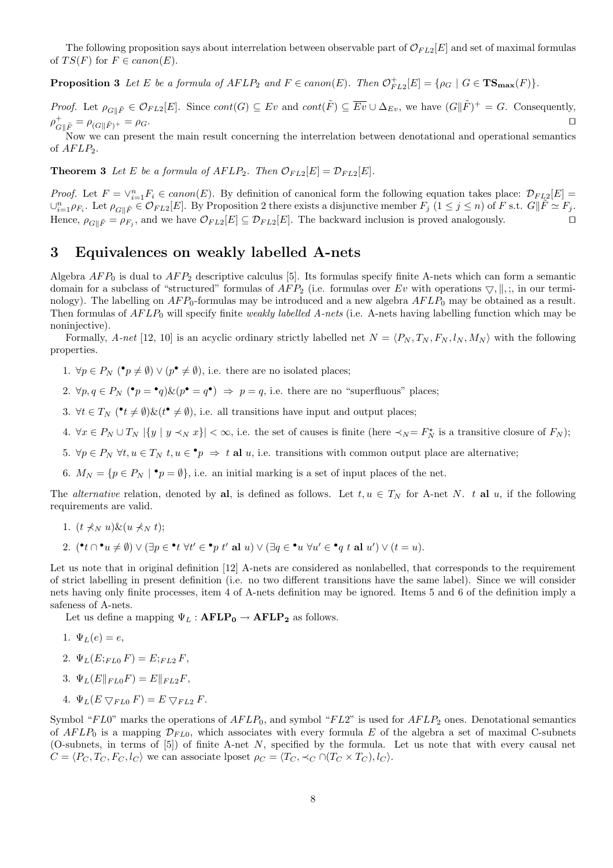The following proposition says about interrelation between observable part of  $\mathcal{O}_{FL2}[E]$  and set of maximal formulas of  $TS(F)$  for  $F \in canon(E)$ .

**Proposition 3** Let E be a formula of  $AFLP_2$  and  $F \in \text{canon}(E)$ . Then  $\mathcal{O}_{FL2}^+[E] = \{ \rho_G \mid G \in \mathbf{TS}_{\text{max}}(F) \}.$ 

*Proof.* Let  $\rho_{G \parallel \tilde{F}} \in \mathcal{O}_{FL2}[E]$ . Since  $cont(G) \subseteq Ev$  and  $cont(\tilde{F}) \subseteq \overline{Ev} \cup \Delta_{Ev}$ , we have  $(G \parallel \tilde{F})^+ = G$ . Consequently,  $\rho_{G\|\tilde{F}}^+ = \rho_{(G\|\tilde{F})^+} = \rho_G.$ 

Now we can present the main result concerning the interrelation between denotational and operational semantics of  $AFLP_2$ .

**Theorem 3** Let E be a formula of  $AFLP_2$ . Then  $\mathcal{O}_{FL2}[E] = \mathcal{D}_{FL2}[E]$ .

*Proof.* Let  $F = \vee_{i=1}^{n} F_i \in canon(E)$ . By definition of canonical form the following equation takes place:  $\mathcal{D}_{FL2}[E] =$  $\cup_{i=1}^n \rho_{F_i}$ . Let  $\rho_{G\parallel \tilde{F}} \in \mathcal{O}_{FL2}[E]$ . By Proposition 2 there exists a disjunctive member  $F_j$   $(1 \leq j \leq n)$  of F s.t.  $G\parallel \tilde{F} \simeq F_j$ . Hence,  $\rho_{G\|\tilde{F}} = \rho_{F_j}$ , and we have  $\mathcal{O}_{FL2}[E] \subseteq \mathcal{D}_{FL2}[E]$ . The backward inclusion is proved analogously.

# 3 Equivalences on weakly labelled A-nets

Algebra  $AFP_0$  is dual to  $AFP_2$  descriptive calculus [5]. Its formulas specify finite A-nets which can form a semantic domain for a subclass of "structured" formulas of  $AFP_2$  (i.e. formulas over Ev with operations  $\bigtriangledown, \big \|$ , ;, in our terminology). The labelling on  $AFP_0$ -formulas may be introduced and a new algebra  $AFLP_0$  may be obtained as a result. Then formulas of  $AFLP<sub>0</sub>$  will specify finite weakly labelled A-nets (i.e. A-nets having labelling function which may be noninjective).

Formally, A-net [12, 10] is an acyclic ordinary strictly labelled net  $N = \langle P_N, T_N, F_N, l_N, M_N \rangle$  with the following properties.

- 1.  $\forall p \in P_N$  ( $\mathbf{P}_p \neq \emptyset$ )  $\lor$  ( $p^{\bullet} \neq \emptyset$ ), i.e. there are no isolated places;
- 2.  $\forall p, q \in P_N$  ( $\bullet p = \bullet q$ )  $\& (p \bullet q \bullet) \Rightarrow p = q$ , i.e. there are no "superfluous" places;
- 3.  $\forall t \in T_N$  ( $\mathbf{e}_t \neq \emptyset$ ) $\&(\mathbf{e}_t \neq \emptyset)$ , i.e. all transitions have input and output places;
- 4.  $\forall x \in P_N \cup T_N \mid \{y \mid y \prec_N x\}\mid <\infty$ , i.e. the set of causes is finite (here  $\prec_N = F_N^*$  is a transitive closure of  $F_N$ );
- 5.  $\forall p \in P_N \ \forall t, u \in T_N \ t, u \in \bullet p \Rightarrow t \text{ al } u$ , i.e. transitions with common output place are alternative;
- 6.  $M_N = \{p \in P_N \mid \bullet p = \emptyset\}$ , i.e. an initial marking is a set of input places of the net.

The *alternative* relation, denoted by al, is defined as follows. Let  $t, u \in T_N$  for A-net N. t al u, if the following requirements are valid.

- 1.  $(t \nless w u) \& (u \nless w t)$ ;
- 2.  $(^{\bullet}t \cap ^{\bullet}u \neq \emptyset) \vee (\exists p \in ^{\bullet}t \ \forall t' \in ^{\bullet}p \ t' \text{ al } u) \vee (\exists q \in ^{\bullet}u \ \forall u' \in ^{\bullet}q \ t \text{ al } u') \vee (t = u).$

Let us note that in original definition [12] A-nets are considered as nonlabelled, that corresponds to the requirement of strict labelling in present definition (i.e. no two different transitions have the same label). Since we will consider nets having only finite processes, item 4 of A-nets definition may be ignored. Items 5 and 6 of the definition imply a safeness of A-nets.

Let us define a mapping  $\Psi_L : \mathbf{AFLP_0} \to \mathbf{AFLP_2}$  as follows.

- 1.  $\Psi_L(e) = e$ ,
- 2.  $\Psi_L(E;_{FL0} F) = E;_{FL2} F$
- 3.  $\Psi_L(E||_{FLO}F) = E||_{FL2}F,$
- 4.  $\Psi_L(E \nabla_{FL0} F) = E \nabla_{FL2} F$ .

Symbol "FL0" marks the operations of  $AFLP_0$ , and symbol "FL2" is used for  $AFLP_2$  ones. Denotational semantics of  $AFLP_0$  is a mapping  $\mathcal{D}_{FLO}$ , which associates with every formula E of the algebra a set of maximal C-subnets (O-subnets, in terms of [5]) of finite A-net N, specified by the formula. Let us note that with every causal net  $C = \langle P_C, T_C, F_C, l_C \rangle$  we can associate lposet  $\rho_C = \langle T_C, \prec_C \cap (T_C \times T_C), l_C \rangle$ .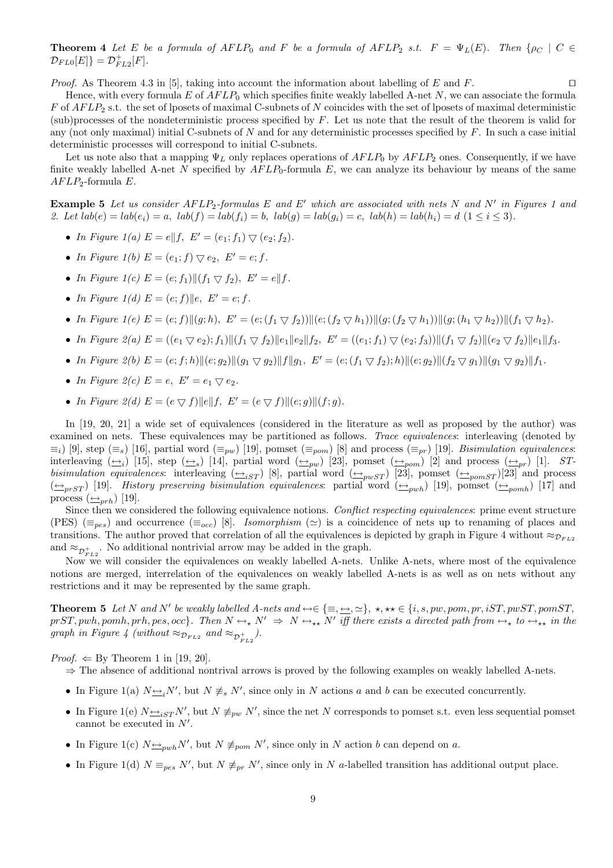**Theorem 4** Let E be a formula of  $AFLP_0$  and F be a formula of  $AFLP_2$  s.t.  $F = \Psi_L(E)$ . Then  $\{\rho_C \mid C \in$  $\mathcal{D}_{FL0}[E]\} = \mathcal{D}_{FL2}^{+}[F].$ 

*Proof.* As Theorem 4.3 in [5], taking into account the information about labelling of E and F.

Hence, with every formula  $E$  of  $AFLP_0$  which specifies finite weakly labelled A-net  $N$ , we can associate the formula  $F$  of  $AFLP_2$  s.t. the set of lposets of maximal C-subnets of N coincides with the set of lposets of maximal deterministic (sub)processes of the nondeterministic process specified by  $F$ . Let us note that the result of the theorem is valid for any (not only maximal) initial C-subnets of N and for any deterministic processes specified by  $F$ . In such a case initial deterministic processes will correspond to initial C-subnets.

Let us note also that a mapping  $\Psi_L$  only replaces operations of  $AFLP_0$  by  $AFLP_2$  ones. Consequently, if we have finite weakly labelled A-net N specified by  $AFLP_0$ -formula E, we can analyze its behaviour by means of the same  $AFLP_2$ -formula E.

**Example 5** Let us consider  $AFLP_2$ -formulas E and E' which are associated with nets N and N' in Figures 1 and 2. Let  $lab(e) = lab(e_i) = a$ ,  $lab(f) = lab(f_i) = b$ ,  $lab(g) = lab(g_i) = c$ ,  $lab(h) = lab(h_i) = d$   $(1 \le i \le 3)$ .

- In Figure 1(a)  $E = e||f, E' = (e_1; f_1) \nabla (e_2; f_2).$
- In Figure 1(b)  $E = (e_1; f) \bigtriangledown e_2$ ,  $E' = e; f$ .
- In Figure 1(c)  $E = (e; f_1) || (f_1 \nabla f_2), E' = e|| f.$
- In Figure 1(d)  $E = (e; f) || e, E' = e; f.$
- In Figure  $1(e) E = (e; f) || (g; h), E' = (e; (f_1 \nabla f_2)) || (e; (f_2 \nabla h_1)) || (g; (f_2 \nabla h_1)) || (g; (h_1 \nabla h_2)) || (f_1 \nabla h_2).$
- In Figure 2(a)  $E = ((e_1 \nabla e_2); f_1) || (f_1 \nabla f_2) || e_1 || e_2 || f_2, E' = ((e_1; f_1) \nabla (e_2; f_3)) || (f_1 \nabla f_2) || (e_2 \nabla f_2) || e_1 || f_3.$
- In Figure 2(b)  $E = (e; f; h) || (e; g_2) || (g_1 \nabla g_2) || f || g_1, E' = (e; (f_1 \nabla f_2); h) || (e; g_2) || (f_2 \nabla g_1) || (g_1 \nabla g_2) || f_1$ .
- In Figure 2(c)  $E = e$ ,  $E' = e_1 \nabla e_2$ .
- In Figure 2(d)  $E = (e \nabla f) ||e|| f$ ,  $E' = (e \nabla f) ||(e; q)|| (f; q)$ .

In [19, 20, 21] a wide set of equivalences (considered in the literature as well as proposed by the author) was examined on nets. These equivalences may be partitioned as follows. Trace equivalences: interleaving (denoted by  $\equiv_i$ ) [9], step ( $\equiv_s$ ) [16], partial word ( $\equiv_{pw}$ ) [19], pomset ( $\equiv_{pom}$ ) [8] and process ( $\equiv_{pr}$ ) [19]. Bisimulation equivalences: interleaving  $(\underline{\leftrightarrow}_i)$  [15], step  $(\underline{\leftrightarrow}_s)$  [14], partial word  $(\underline{\leftrightarrow}_{pw})$  [23], pomset  $(\underline{\leftrightarrow}_{pom})$  [2] and process  $(\underline{\leftrightarrow}_{pr})$  [1]. STbisimulation equivalences: interleaving  $(\triangle_{iST})$  [8], partial word  $(\triangle_{pwsT})$  [23], pomset  $(\triangle_{pomsT})$ [23] and process  $(\leftrightarrow_{prST})$  [19]. History preserving bisimulation equivalences: partial word  $(\leftrightarrow_{pwh})$  [19], pomset  $(\leftrightarrow_{pomb})$  [17] and process  $(\underline{\leftrightarrow}_{prh})$  [19].

Since then we considered the following equivalence notions. Conflict respecting equivalences: prime event structure (PES) ( $\equiv_{pes}$ ) and occurrence ( $\equiv_{occ}$ ) [8]. Isomorphism ( $\simeq$ ) is a coincidence of nets up to renaming of places and transitions. The author proved that correlation of all the equivalences is depicted by graph in Figure 4 without  $\approx_{D_{FL2}}$ and  $\approx_{\mathcal{D}_{FL2}^+}$ . No additional nontrivial arrow may be added in the graph.

Now we will consider the equivalences on weakly labelled A-nets. Unlike A-nets, where most of the equivalence notions are merged, interrelation of the equivalences on weakly labelled A-nets is as well as on nets without any restrictions and it may be represented by the same graph.

Theorem 5 Let N and N<sup>0</sup> be weakly labelled A-nets and ↔∈ {≡, ↔, '}, ?, ?? ∈ {i, s, pw, pom, pr, iST, pwST, pomST,  $prST, pwh, pomb, prh, pes, occ$ . Then  $N \leftrightarrow_{\star} N' \Rightarrow N \leftrightarrow_{\star \star} N'$  iff there exists a directed path from  $\leftrightarrow_{\star}$  to  $\leftrightarrow_{\star \star}$  in the graph in Figure 4 (without  $\approx_{\mathcal{D}_{FL2}}$  and  $\approx_{\mathcal{D}_{FL2}^+}$ ).

*Proof.*  $\Leftarrow$  By Theorem 1 in [19, 20].

- $\Rightarrow$  The absence of additional nontrival arrows is proved by the following examples on weakly labelled A-nets.
- In Figure 1(a)  $N \rightarrow iN'$ , but  $N \not\equiv_s N'$ , since only in N actions a and b can be executed concurrently.
- In Figure 1(e)  $N \rightarrow_{iST} N'$ , but  $N \not\equiv_{pw} N'$ , since the net N corresponds to pomset s.t. even less sequential pomset cannot be executed in  $N'$ .
- In Figure 1(c)  $N \rightarrow_{pwh} N'$ , but  $N \not\equiv_{pom} N'$ , since only in N action b can depend on a.
- In Figure 1(d)  $N \equiv_{pes} N'$ , but  $N \not\equiv_{pr} N'$ , since only in N a-labelled transition has additional output place.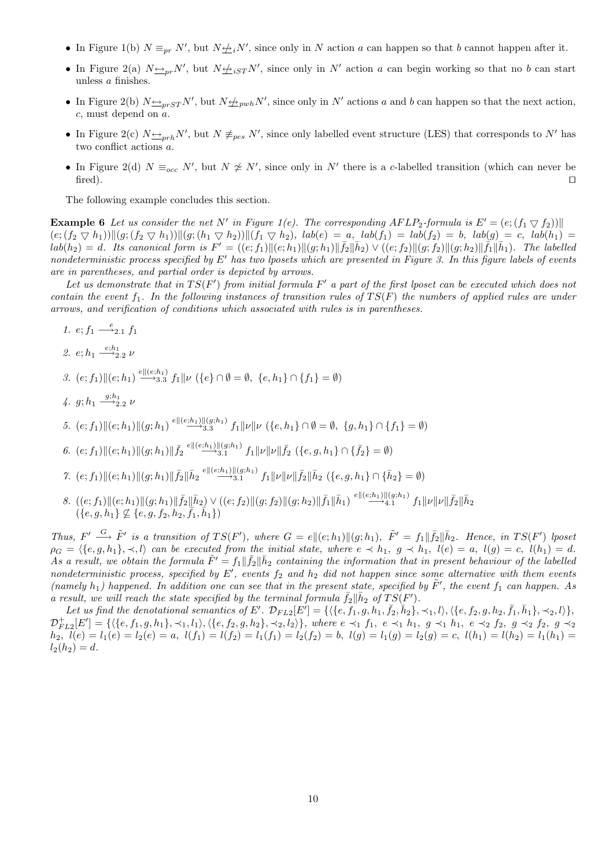- In Figure 1(b)  $N \equiv_{pr} N'$ , but  $N \not\equiv_i N'$ , since only in N action a can happen so that b cannot happen after it.
- In Figure 2(a)  $N \rightarrow p r N'$ , but  $N \not\equiv_{i} s T N'$ , since only in N' action a can begin working so that no b can start unless a finishes.
- In Figure 2(b)  $N \rightarrow p_{rST} N'$ , but  $N \not\rightarrow p_{wh} N'$ , since only in N' actions a and b can happen so that the next action, c, must depend on a.
- In Figure 2(c)  $N \rightarrow p r h N'$ , but  $N \not\equiv_{p e s} N'$ , since only labelled event structure (LES) that corresponds to N' has two conflict actions a.
- In Figure 2(d)  $N \equiv_{occ} N'$ , but  $N \not\cong N'$ , since only in N' there is a c-labelled transition (which can never be  $\Box$

The following example concludes this section.

**Example 6** Let us consider the net N' in Figure 1(e). The corresponding AFLP<sub>2</sub>-formula is  $E' = (e; (f_1 \nabla f_2))$  $(e; (f_2 \nabla h_1))$ || $(g; (f_2 \nabla h_1))$ || $(g; (h_1 \nabla h_2))$ || $(f_1 \nabla h_2)$ , lab $(e) = a$ , lab $(f_1) = lab(f_2) = b$ , lab $(g) = c$ , lab $(h_1) =$  $lab(h_2) = d.$  Its canonical form is  $F' = ((e; f_1) || (e; h_1) || (g; h_1) || \bar{f}_2 || \bar{h}_2) \vee ((e; f_2) || (g; f_2) || (g; h_2) || \bar{f}_1 || \bar{h}_1).$  The labelled nondeterministic process specified by  $E'$  has two lposets which are presented in Figure 3. In this figure labels of events are in parentheses, and partial order is depicted by arrows.

Let us demonstrate that in  $TS(F')$  from initial formula  $F'$  a part of the first lposet can be executed which does not contain the event  $f_1$ . In the following instances of transition rules of  $TS(F)$  the numbers of applied rules are under arrows, and verification of conditions which associated with rules is in parentheses.

- 1.  $e; f_1 \stackrel{e}{\longrightarrow} 2.1 f_1$
- 2.  $e; h_1 \xrightarrow{e; h_1} 2 \nu$
- 3.  $(e; f_1)$ || $(e; h_1) \stackrel{e \parallel (e; h_1)}{\longrightarrow} 3.3 f_1 \|\nu \ (\{e\} \cap \emptyset = \emptyset, \ \{e, h_1\} \cap \{f_1\} = \emptyset)$
- 4.  $g; h_1 \xrightarrow{g; h_1} \nu$
- 5.  $(e; f_1) \|(e; h_1)\|(g; h_1) \stackrel{e\|(e; h_1)\|(g; h_1)}{\longrightarrow} f_1 \|\nu\|\nu \ (\{e, h_1\} \cap \emptyset = \emptyset, \ \{g, h_1\} \cap \{f_1\} = \emptyset)$
- 6.  $(e; f_1) || (e; h_1) || (g; h_1) || \overline{f_2} \stackrel{e|| (e; h_1) || (g; h_1)}{\longrightarrow} f_1 || \nu || \nu || \overline{f_2} (\{e, g, h_1\} \cap {\{\overline{f_2}\}} = \emptyset)$
- 7.  $(e; f_1) || (e; h_1) || (g; h_1) || \overline{f}_2 || \overline{h}_2 \stackrel{e|| (e; h_1) || (g; h_1)}{\longrightarrow} f_1 || \nu || \nu || \overline{f}_2 || \overline{h}_2 \ ( \{e, g, h_1\} \cap {\overline{h}_2} \} = \emptyset)$
- $8. \ \left((e;f_1)\|(e;h_1)\|(g;h_1)\|\bar{f}_2\|\bar{h}_2\right) \vee \left((e;f_2)\|(g;f_2)\|(g;h_2)\|\bar{f}_1\|\bar{h}_1\right) \stackrel{e \|(e;h_1)\|(g;h_1)}{\longrightarrow} f_1\|\nu\|\nu\|\bar{f}_2\|\bar{h}_2$  $(\{e,g,h_1\}\nsubseteq \{e,g,f_2,h_2,\overline{f_1},\overline{h}_1\})$

Thus,  $F' \xrightarrow{G} \tilde{F}'$  is a transition of  $TS(F')$ , where  $G = e \| (e; h_1) \| (g; h_1)$ ,  $\tilde{F}' = f_1 \| \overline{f}_2 \| \overline{h}_2$ . Hence, in  $TS(F')$  lposet  $\rho_G = \langle \{e, g, h_1\}, \prec, l \rangle$  can be executed from the initial state, where  $e \prec h_1, g \prec h_1, l(e) = a, l(g) = c, l(h_1) = d$ . As a result, we obtain the formula  $\tilde{F}' = f_1 || \bar{f}_2 || \bar{h}_2$  containing the information that in present behaviour of the labelled nondeterministic process, specified by  $E'$ , events  $f_2$  and  $h_2$  did not happen since some alternative with them events (namely  $h_1$ ) happened. In addition one can see that in the present state, specified by  $\tilde{F}'$ , the event  $f_1$  can happen. As a result, we will reach the state specified by the terminal formula  $\bar{f}_2 \parallel \bar{h}_2$  of  $TS(F')$ .

Let us find the denotational semantics of E'.  $\mathcal{D}_{FL2}[E'] = \{ \langle \{e, f_1, g, h_1, \bar{f}_2, \bar{h}_2\}, \prec_1, l \rangle, \langle \{e, f_2, g, h_2, \bar{f}_1, \bar{h}_1\}, \prec_2, l \rangle \},\$  $\mathcal{D}_{FL2}^+[E'] = \{ \langle \{e, f_1, g, h_1\}, \prec_1, l_1 \rangle, \langle \{e, f_2, g, h_2\}, \prec_2, l_2 \rangle \},\$  where  $e \prec_1 f_1, \; e \prec_1 h_1, \; g \prec_1 h_1, \; e \prec_2 f_2, \; g \prec_2 f_2, \; g \prec_2$  $h_2, l(e) = l_1(e) = l_2(e) = a, l(f_1) = l(f_2) = l_1(f_1) = l_2(f_2) = b, l(g) = l_1(g) = l_2(g) = c, l(h_1) = l(h_2) = l_1(h_1) = b$  $l_2(h_2) = d.$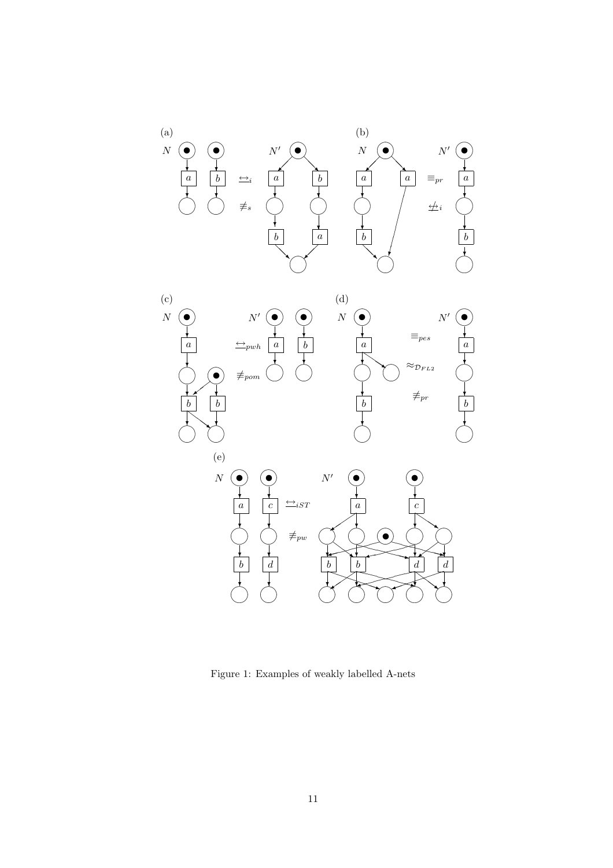

Figure 1: Examples of weakly labelled A-nets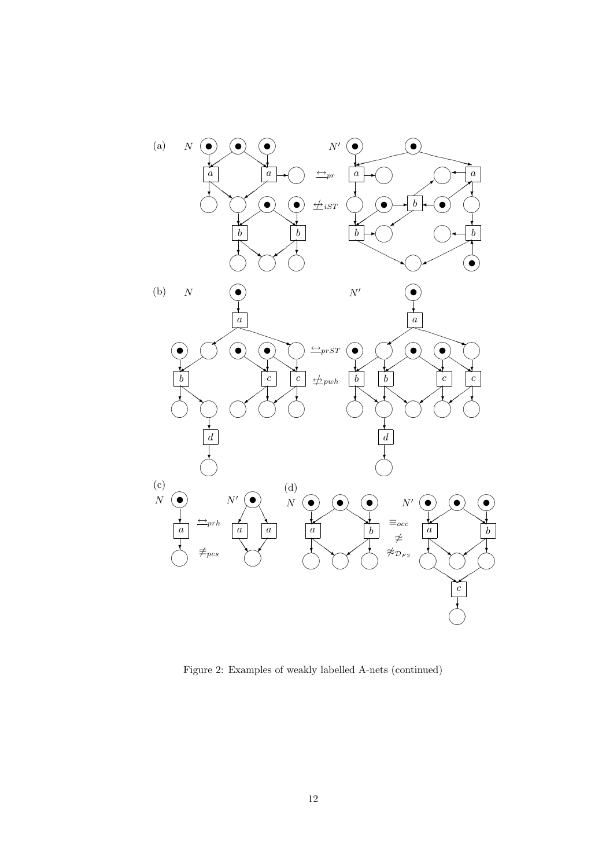

Figure 2: Examples of weakly labelled A-nets (continued)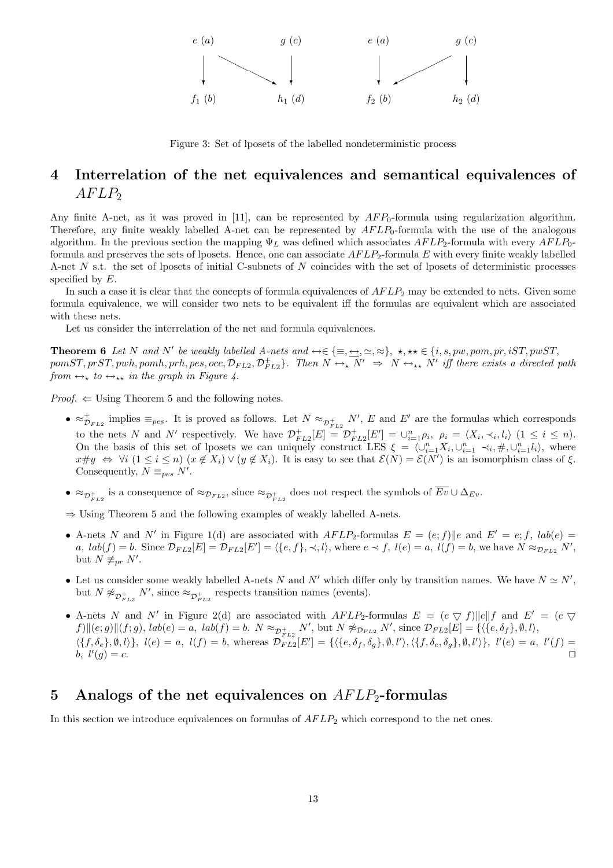

Figure 3: Set of lposets of the labelled nondeterministic process

# 4 Interrelation of the net equivalences and semantical equivalences of  $AFLP_2$

Any finite A-net, as it was proved in [11], can be represented by  $AFP_0$ -formula using regularization algorithm. Therefore, any finite weakly labelled A-net can be represented by  $AFLP_0$ -formula with the use of the analogous algorithm. In the previous section the mapping  $\Psi_L$  was defined which associates  $AFLP_2$ -formula with every  $AFLP_0$ formula and preserves the sets of lposets. Hence, one can associate  $AFLP_2$ -formula E with every finite weakly labelled A-net  $N$  s.t. the set of lposets of initial C-subnets of  $N$  coincides with the set of lposets of deterministic processes specified by  $E$ .

In such a case it is clear that the concepts of formula equivalences of  $AFLP_2$  may be extended to nets. Given some formula equivalence, we will consider two nets to be equivalent iff the formulas are equivalent which are associated with these nets.

Let us consider the interrelation of the net and formula equivalences.

Theorem 6 Let N and N<sup>0</sup> be weakly labelled A-nets and ↔∈ {≡, ↔, ', ≈}, ?, ?? ∈ {i, s, pw, pom, pr, iST, pwST,  $pomST, prST, pwh, pomb, prh, pes, occ, \mathcal{D}_{FL2}, \mathcal{D}_{FL2}^+ \}$ . Then  $N \leftrightarrow_{\star} N' \Rightarrow N \leftrightarrow_{\star} N'$  iff there exists a directed path from  $\leftrightarrow_{\star}$  to  $\leftrightarrow_{\star\star}$  in the graph in Figure 4.

*Proof.*  $\Leftarrow$  Using Theorem 5 and the following notes.

- $\approx_{\mathcal{D}_{FL2}}^+$  implies  $\equiv_{pes}$ . It is proved as follows. Let  $N \approx_{\mathcal{D}_{FL2}^+} N'$ , E and E' are the formulas which corresponds to the nets N and N' respectively. We have  $\mathcal{D}_{FL2}^+[E] = \mathcal{D}_{FL2}^+[E'] = \cup_{i=1}^n \rho_i$ ,  $\rho_i = \langle X_i, \prec_i, l_i \rangle$   $(1 \leq i \leq n)$ . On the basis of this set of lposets we can uniquely construct LES  $\xi = \langle \bigcup_{i=1}^n X_i, \bigcup_{i=1}^n \prec_i, \#, \bigcup_{i=1}^n l_i \rangle$ , where  $x \# y \Leftrightarrow \forall i \ (1 \leq i \leq n) \ (x \notin X_i) \vee (y \notin X_i)$ . It is easy to see that  $\mathcal{E}(N) = \mathcal{E}(N')$  is an isomorphism class of  $\xi$ . Consequently,  $N \equiv_{pes} N'$ .
- $\bullet \approx_{\mathcal{D}_{FL2}^+}$  is a consequence of  $\approx_{\mathcal{D}_{FL2}}$ , since  $\approx_{\mathcal{D}_{FL2}^+}$  does not respect the symbols of  $\overline{Ev} \cup \Delta_{Ev}$ .

⇒ Using Theorem 5 and the following examples of weakly labelled A-nets.

- A-nets N and N' in Figure 1(d) are associated with  $AFLP_2$ -formulas  $E = (e; f)$ ||e and  $E' = e; f$ ,  $lab(e)$  $a, lab(f) = b.$  Since  $\mathcal{D}_{FL2}[E] = \mathcal{D}_{FL2}[E'] = \langle \{e, f\}, \prec, l \rangle$ , where  $e \prec f, l(e) = a, l(f) = b$ , we have  $N \approx_{\mathcal{D}_{FL2}} N'$ , but  $N \not\equiv_{pr} N'$ .
- Let us consider some weakly labelled A-nets N and N' which differ only by transition names. We have  $N \simeq N'$ , but  $N \not\approx_{\mathcal{D}_{FL2}^+} N'$ , since  $\approx_{\mathcal{D}_{FL2}^+}$  respects transition names (events).
- A-nets N and N' in Figure 2(d) are associated with  $AFLP_2$ -formulas  $E = (e \nabla f) ||e|| f$  and  $E' = (e \nabla f)$  $f\|\{(e; g)\|(f; g), \, lab(e) = a, \, lab(f) = b. \, N \approx_{\mathcal{D}_{FL2}^+} N', \, \text{but } N \not\approx_{\mathcal{D}_{FL2}} N', \, \text{since } \mathcal{D}_{FL2}[E] = \{ \langle \{e, \delta_f\}, \emptyset, l \rangle, \, \langle \{e, \delta_f\}, \emptyset, l \rangle, \}$  $\{\{f, \delta_e\}, \emptyset, l\}, \ l(e) = a, \ l(f) = b, \text{ whereas } \mathcal{D}_{FL2}[E'] = \{\{\{e, \delta_f, \delta_g\}, \emptyset, l'\}, \{\{f, \delta_e, \delta_g\}, \emptyset, l'\}\}, \ l'(e) = a, \ l'(f) = b, \ l'(f) = b, \ l'(f) = b, \ l'(f) = b, \ l'(f) = b, \ l'(f) = b, \ l'(f) = b, \ l'(f) = b, \ l'(f) = b, \ l'(f) = b, \ l'(f) = b, \ l'(f) = b, \ l'(f) = b, \ l'(f) = b, \ l'(f) = b,$ b,  $l'(g) = c$ .  $(g) = c.$

# 5 Analogs of the net equivalences on  $AFLP_2$ -formulas

In this section we introduce equivalences on formulas of  $AFLP<sub>2</sub>$  which correspond to the net ones.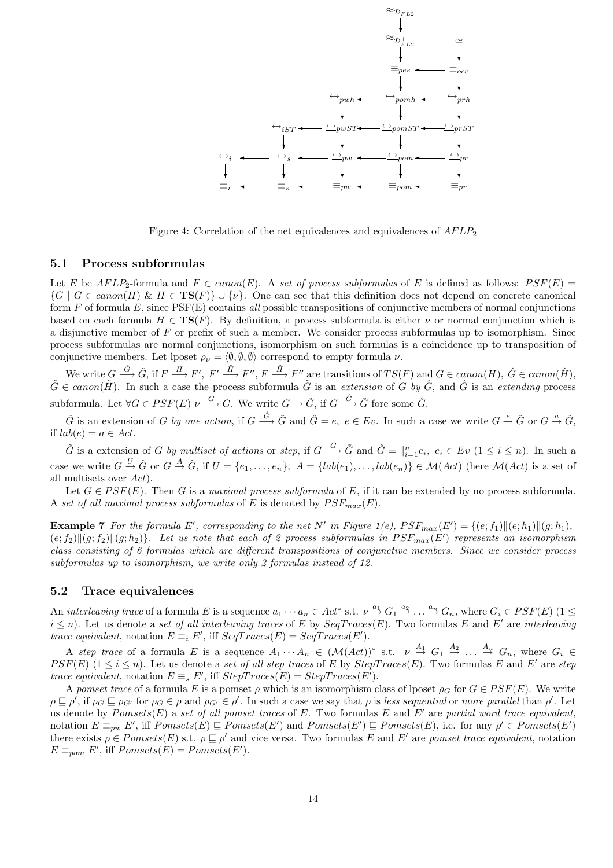

Figure 4: Correlation of the net equivalences and equivalences of  $AFLP_2$ 

#### 5.1 Process subformulas

Let E be AFLP<sub>2</sub>-formula and  $F \in canon(E)$ . A set of process subformulas of E is defined as follows:  $PSF(E)$  =  $\{G \mid G \in canon(H) \& H \in \mathbf{TS}(F)\} \cup \{\nu\}.$  One can see that this definition does not depend on concrete canonical form  $F$  of formula  $E$ , since  $PSF(E)$  contains all possible transpositions of conjunctive members of normal conjunctions based on each formula  $H \in TS(F)$ . By definition, a process subformula is either  $\nu$  or normal conjunction which is a disjunctive member of F or prefix of such a member. We consider process subformulas up to isomorphism. Since process subformulas are normal conjunctions, isomorphism on such formulas is a coincidence up to transposition of conjunctive members. Let lposet  $\rho_{\nu} = \langle \emptyset, \emptyset, \emptyset \rangle$  correspond to empty formula  $\nu$ .

We write  $G \stackrel{\hat{G}}{\longrightarrow} \tilde{G}$ , if  $F \stackrel{H}{\longrightarrow} F'$ ,  $F' \stackrel{\hat{H}}{\longrightarrow} F''$ ,  $F \stackrel{\tilde{H}}{\longrightarrow} F''$  are transitions of  $TS(F)$  and  $G \in canon(H)$ ,  $\hat{G} \in canon(\hat{H})$ ,  $\tilde{G} \in canon(\tilde{H})$ . In such a case the process subformula  $\tilde{G}$  is an extension of  $G$  by  $\hat{G}$ , and  $\hat{G}$  is an extending process subformula. Let  $\forall G \in PSF(E) \nu \stackrel{G}{\longrightarrow} G$ . We write  $G \to \tilde{G}$ , if  $G \stackrel{\hat{G}}{\longrightarrow} \tilde{G}$  fore some  $\hat{G}$ .

 $\tilde{G}$  is an extension of G by one action, if  $G \stackrel{\hat{G}}{\longrightarrow} \tilde{G}$  and  $\hat{G} = e, e \in Ev$ . In such a case we write  $G \stackrel{e}{\rightarrow} \tilde{G}$  or  $G \stackrel{a}{\rightarrow} \tilde{G}$ , if  $lab(e) = a \in Act$ .

 $\tilde{G}$  is a extension of G by multiset of actions or step, if  $G \stackrel{\hat{G}}{\longrightarrow} \tilde{G}$  and  $\hat{G} = ||_{i=1}^{n} e_i, e_i \in Ev$   $(1 \leq i \leq n)$ . In such a case we write  $G \stackrel{U}{\to} \tilde{G}$  or  $G \stackrel{A}{\to} \tilde{G}$ , if  $U = \{e_1, \ldots, e_n\}$ ,  $A = \{lab(e_1), \ldots, lab(e_n)\} \in \mathcal{M}(Act)$  (here  $\mathcal{M}(Act)$  is a set of all multisets over Act).

Let  $G \in PSF(E)$ . Then G is a maximal process subformula of E, if it can be extended by no process subformula. A set of all maximal process subformulas of E is denoted by  $PSF_{max}(E)$ .

**Example 7** For the formula E', corresponding to the net N' in Figure 1(e),  $PSF_{max}(E') = \{(e; f_1) || (e; h_1) || (g; h_1),$  $(e; f_2)$  $\|(g; f_2)\|(g; h_2)\}$ . Let us note that each of 2 process subformulas in  $PSF_{max}(E')$  represents an isomorphism class consisting of 6 formulas which are different transpositions of conjunctive members. Since we consider process subformulas up to isomorphism, we write only 2 formulas instead of 12.

## 5.2 Trace equivalences

An *interleaving trace* of a formula E is a sequence  $a_1 \cdots a_n \in Act^*$  s.t.  $\nu \stackrel{a_1}{\rightarrow} G_1 \stackrel{a_2}{\rightarrow} \dots \stackrel{a_n}{\rightarrow} G_n$ , where  $G_i \in PSF(E)$  (1  $\leq$  $i \leq n$ ). Let us denote a set of all interleaving traces of E by  $SeqTrace(E)$ . Two formulas E and E' are interleaving trace equivalent, notation  $E \equiv_i E'$ , iff  $SeqTrace(E) = SeqTrace(E').$ 

A step trace of a formula E is a sequence  $A_1 \cdots A_n \in (\mathcal{M}(Act))^*$  s.t.  $\nu \stackrel{A_1}{\rightarrow} G_1 \stackrel{A_2}{\rightarrow} \ldots \stackrel{A_n}{\rightarrow} G_n$ , where  $G_i \in$  $PSF(E)$  ( $1 \le i \le n$ ). Let us denote a set of all step traces of E by StepTraces(E). Two formulas E and E' are step trace equivalent, notation  $E \equiv_s E'$ , iff  $StepTrace(E) = StepTrace(E').$ 

A pomset trace of a formula E is a pomset  $\rho$  which is an isomorphism class of lposet  $\rho_G$  for  $G \in PSF(E)$ . We write  $\rho \sqsubseteq \rho'$ , if  $\rho_G \sqsubseteq \rho_{G'}$  for  $\rho_G \in \rho$  and  $\rho_{G'} \in \rho'$ . In such a case we say that  $\rho$  is less sequential or more parallel than  $\rho'$ . Let us denote by  $Pomsets(E)$  a set of all pomset traces of E. Two formulas E and E' are partial word trace equivalent, notation  $E \equiv_{pw} E'$ , iff  $Pomsets(E) \sqsubseteq Pomsets(E')$  and  $Pomsets(E') \sqsubseteq Pomsets(E)$ , i.e. for any  $\rho' \in Pomsets(E')$ there exists  $\rho \in P \text{omsets}(E)$  s.t.  $\rho \sqsubseteq \rho'$  and vice versa. Two formulas E and E' are pomset trace equivalent, notation  $E \equiv_{\text{pom}} E'$ , iff  $Pomsets(E) = Pomsets(E').$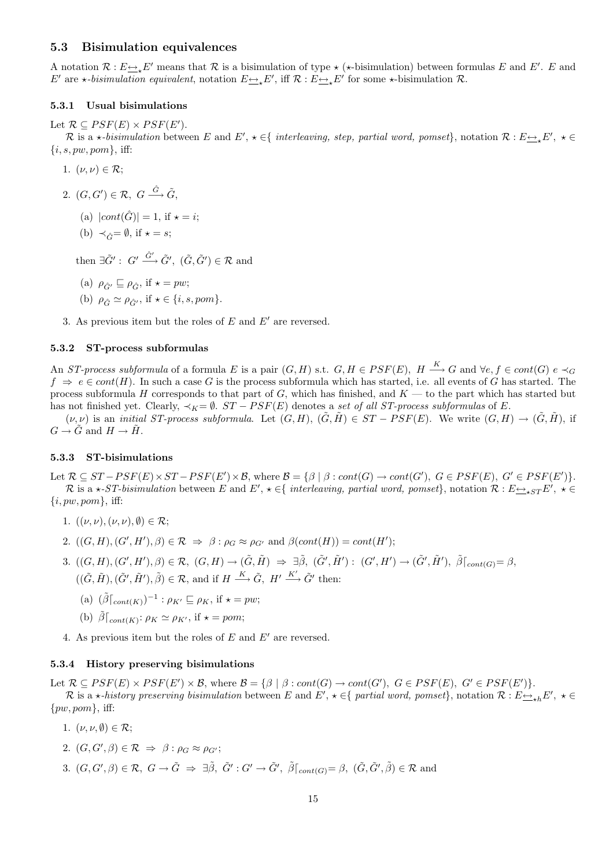## 5.3 Bisimulation equivalences

A notation  $\mathcal{R}: E \rightarrow E'$  means that  $\mathcal R$  is a bisimulation of type  $\star$  ( $\star$ -bisimulation) between formulas E and E'. E and E' are  $\star$ -bisimulation equivalent, notation  $E \rightarrow E'$ , iff  $\mathcal{R}: E \rightarrow E'$  for some  $\star$ -bisimulation  $\mathcal{R}$ .

#### 5.3.1 Usual bisimulations

Let  $\mathcal{R} \subseteq PSF(E) \times PSF(E')$ .

R is a  $\star$ -bisimulation between E and E',  $\star \in \{$  interleaving, step, partial word, pomset $\}$ , notation  $\mathcal{R}: E \rightarrow \star E'$ ,  $\star \in$  $\{i, s, pw, pom\}$ , iff:

- 1.  $(\nu, \nu) \in \mathcal{R}$ ;
- 2.  $(G, G') \in \mathcal{R}, G \stackrel{\hat{G}}{\longrightarrow} \tilde{G},$ 
	- (a)  $|cont(\hat{G})| = 1$ , if  $\star = i$ ;
	- (b)  $\prec_{\hat{C}} = \emptyset$ , if  $\star = s$ ;

then  $\exists \tilde{G}' : G' \xrightarrow{\hat{G}'} \tilde{G}', (\tilde{G}, \tilde{G}') \in \mathcal{R}$  and

- (a)  $\rho_{\hat{C}} \subseteq \rho_{\hat{C}}$ , if  $\star = pw$ ;
- (b)  $\rho_{\hat{G}} \simeq \rho_{\hat{G}'},$  if  $\star \in \{i, s, pom\}.$
- 3. As previous item but the roles of  $E$  and  $E'$  are reversed.

#### 5.3.2 ST-process subformulas

An ST-process subformula of a formula E is a pair  $(G, H)$  s.t.  $G, H \in PSF(E)$ ,  $H \stackrel{K}{\longrightarrow} G$  and  $\forall e, f \in cont(G)$   $e \prec_G$  $f \Rightarrow e \in cont(H)$ . In such a case G is the process subformula which has started, i.e. all events of G has started. The process subformula H corresponds to that part of G, which has finished, and  $K$  — to the part which has started but has not finished yet. Clearly,  $\prec_K = \emptyset$ .  $ST - PSF(E)$  denotes a set of all ST-process subformulas of E.

 $(\nu, \nu)$  is an *initial ST-process subformula*. Let  $(G, H)$ ,  $(\tilde{G}, \tilde{H}) \in ST - PSF(E)$ . We write  $(G, H) \rightarrow (\tilde{G}, \tilde{H})$ , if  $G \to G$  and  $H \to H$ .

### 5.3.3 ST-bisimulations

Let  $\mathcal{R} \subseteq ST - PSF(E) \times ST - PSF(E') \times \mathcal{B}$ , where  $\mathcal{B} = {\beta | \beta : cont(G) \rightarrow cont(G'), G \in PSF(E), G' \in PSF(E')}$ . R is a  $\star$ -ST-bisimulation between E and E',  $\star \in \{$  interleaving, partial word, pomset $\}$ , notation  $\mathcal{R}: E \rightarrow \star S T E'$ ,  $\star \in$  $\{i, pw, pom\}, \text{ iff:}$ 

- 1.  $((\nu, \nu), (\nu, \nu), \emptyset) \in \mathcal{R}$ ;
- 2.  $((G, H), (G', H'), \beta) \in \mathcal{R} \Rightarrow \beta : \rho_G \approx \rho_{G'} \text{ and } \beta(cont(H)) = cont(H');$
- 3.  $((G, H), (G', H'), \beta) \in \mathcal{R}, (G, H) \rightarrow (\tilde{G}, \tilde{H}) \Rightarrow \exists \tilde{\beta}, (\tilde{G}', \tilde{H}') : (G', H') \rightarrow (\tilde{G}', \tilde{H}'), \tilde{\beta}\lceil_{cont(G)} = \beta$  $((\tilde{G}, \tilde{H}), (\tilde{G}', \tilde{H}'), \tilde{\beta}) \in \mathcal{R}$ , and if  $H \stackrel{K}{\longrightarrow} \tilde{G}$ ,  $H' \stackrel{K'}{\longrightarrow} \tilde{G}'$  then:
	- (a)  $(\tilde{\beta}\lceil_{cont(K)})^{-1}$ :  $\rho_{K'} \sqsubseteq \rho_K$ , if  $\star = pw$ ;
	- (b)  $\tilde{\beta}|_{cont(K)}$ :  $\rho_K \simeq \rho_{K'}$ , if  $\star = pom$ ;

4. As previous item but the roles of  $E$  and  $E'$  are reversed.

## 5.3.4 History preserving bisimulations

Let  $\mathcal{R} \subseteq PSF(E) \times PSF(E') \times \mathcal{B}$ , where  $\mathcal{B} = {\beta | \beta : cont(G) \rightarrow cont(G'), G \in PSF(E), G' \in PSF(E')}.$ R is a  $\star$ -history preserving bisimulation between E and E',  $\star \in \{$  partial word, pomset $\}$ , notation  $\mathcal{R}: E \rightarrow_{\star h} E'$ ,  $\star \in$  $\{pw, pom\}$ , iff:

- 1.  $(\nu, \nu, \emptyset) \in \mathcal{R}$ ;
- 2.  $(G, G', \beta) \in \mathcal{R} \Rightarrow \beta : \rho_G \approx \rho_{G'};$
- 3.  $(G, G', \beta) \in \mathcal{R}, G \to \tilde{G} \Rightarrow \exists \tilde{\beta}, \tilde{G}' : G' \to \tilde{G}', \tilde{\beta} \vert_{cont(G)} = \beta, (\tilde{G}, \tilde{G}', \tilde{\beta}) \in \mathcal{R}$  and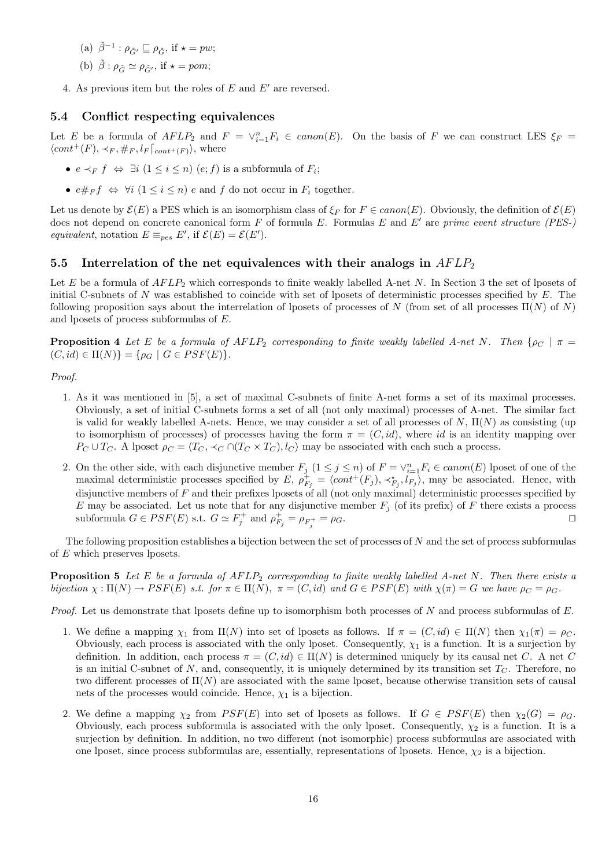- (a)  $\tilde{\beta}^{-1}$ :  $\rho_{\tilde{G}'} \sqsubseteq \rho_{\tilde{G}}$ , if  $\star = pw$ ;
- (b)  $\tilde{\beta}$  :  $\rho_{\tilde{C}} \simeq \rho_{\tilde{C}}$ , if  $\star = pom;$
- 4. As previous item but the roles of  $E$  and  $E'$  are reversed.

## 5.4 Conflict respecting equivalences

Let E be a formula of  $AFLP_2$  and  $F = \vee_{i=1}^n F_i \in canon(E)$ . On the basis of F we can construct LES  $\xi_F$  =  $\langle cont^+(F), \prec_F, \#_F, l_F \vert_{cont^+(F)} \rangle$ , where

- $e \prec_F f \Leftrightarrow \exists i \ (1 \leq i \leq n) \ (e; f)$  is a subformula of  $F_i$ ;
- $e \#_F f \Leftrightarrow \forall i \ (1 \leq i \leq n) \ e \text{ and } f \text{ do not occur in } F_i \text{ together.}$

Let us denote by  $\mathcal{E}(E)$  a PES which is an isomorphism class of  $\xi_F$  for  $F \in canon(E)$ . Obviously, the definition of  $\mathcal{E}(E)$ does not depend on concrete canonical form  $F$  of formula  $E$ . Formulas  $E$  and  $E'$  are prime event structure (PES-) equivalent, notation  $E \equiv_{pes} E'$ , if  $\mathcal{E}(E) = \mathcal{E}(E')$ .

## 5.5 Interrelation of the net equivalences with their analogs in  $AFLP_2$

Let E be a formula of  $AFLP_2$  which corresponds to finite weakly labelled A-net N. In Section 3 the set of lposets of initial C-subnets of N was established to coincide with set of lposets of deterministic processes specified by E. The following proposition says about the interrelation of lposets of processes of N (from set of all processes  $\Pi(N)$  of N) and lposets of process subformulas of E.

**Proposition 4** Let E be a formula of AFLP<sub>2</sub> corresponding to finite weakly labelled A-net N. Then { $\rho_c$  |  $\pi$  =  $(C, id) \in \Pi(N)$ } = { $\rho_G \mid G \in PSF(E)$  }.

#### Proof.

- 1. As it was mentioned in [5], a set of maximal C-subnets of finite A-net forms a set of its maximal processes. Obviously, a set of initial C-subnets forms a set of all (not only maximal) processes of A-net. The similar fact is valid for weakly labelled A-nets. Hence, we may consider a set of all processes of  $N$ ,  $\Pi(N)$  as consisting (up to isomorphism of processes) of processes having the form  $\pi = (C, id)$ , where id is an identity mapping over  $P_C \cup T_C$ . A lposet  $\rho_C = \langle T_C, \prec_C \cap (T_C \times T_C), l_C \rangle$  may be associated with each such a process.
- 2. On the other side, with each disjunctive member  $F_j$   $(1 \leq j \leq n)$  of  $F = \vee_{i=1}^n F_i \in canon(E)$  lposet of one of the maximal deterministic processes specified by  $E, \rho_{F_j}^+ = \langle cont^+(F_j), \prec_{F_j}^* l_{F_j} \rangle$ , may be associated. Hence, with disjunctive members of  $F$  and their prefixes lposets of all (not only maximal) deterministic processes specified by E may be associated. Let us note that for any disjunctive member  $F_j$  (of its prefix) of F there exists a process subformula  $G \in PSF(E)$  s.t.  $G \simeq F_j^+$  and  $\rho_{F_j}^+ = \rho_{F_j^+} = \rho_G$ .

The following proposition establishes a bijection between the set of processes of  $N$  and the set of process subformulas of E which preserves lposets.

**Proposition 5** Let E be a formula of  $AFLP_2$  corresponding to finite weakly labelled A-net N. Then there exists a bijection  $\chi : \Pi(N) \to PSF(E)$  s.t. for  $\pi \in \Pi(N)$ ,  $\pi = (C, id)$  and  $G \in PSF(E)$  with  $\chi(\pi) = G$  we have  $\rho_C = \rho_G$ .

*Proof.* Let us demonstrate that lposets define up to isomorphism both processes of  $N$  and process subformulas of  $E$ .

- 1. We define a mapping  $\chi_1$  from  $\Pi(N)$  into set of lposets as follows. If  $\pi = (C, id) \in \Pi(N)$  then  $\chi_1(\pi) = \rho_C$ . Obviously, each process is associated with the only lposet. Consequently,  $\chi_1$  is a function. It is a surjection by definition. In addition, each process  $\pi = (C, id) \in \Pi(N)$  is determined uniquely by its causal net C. A net C is an initial C-subnet of N, and, consequently, it is uniquely determined by its transition set  $T_C$ . Therefore, no two different processes of  $\Pi(N)$  are associated with the same lposet, because otherwise transition sets of causal nets of the processes would coincide. Hence,  $\chi_1$  is a bijection.
- 2. We define a mapping  $\chi_2$  from  $PSF(E)$  into set of lposets as follows. If  $G \in PSF(E)$  then  $\chi_2(G) = \rho_G$ . Obviously, each process subformula is associated with the only lposet. Consequently,  $\chi_2$  is a function. It is a surjection by definition. In addition, no two different (not isomorphic) process subformulas are associated with one lposet, since process subformulas are, essentially, representations of lposets. Hence,  $\chi_2$  is a bijection.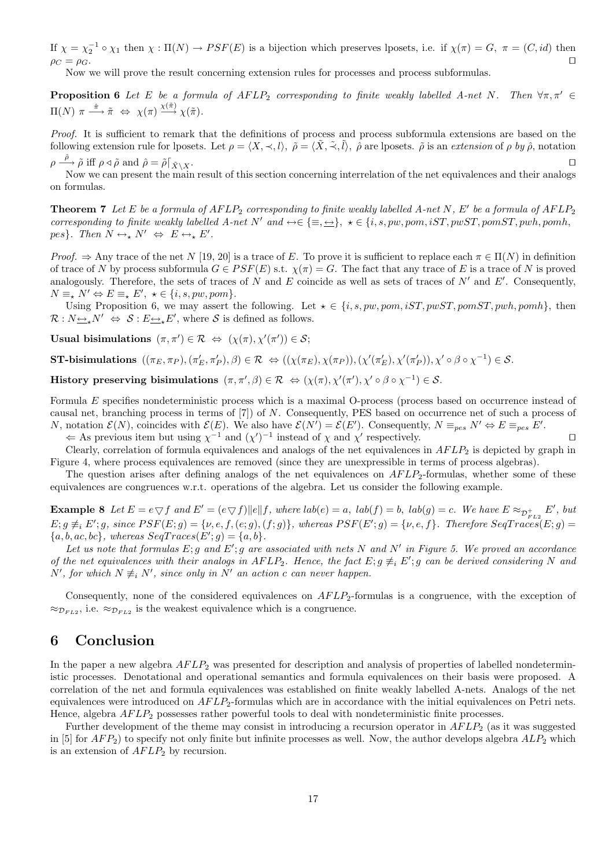If  $\chi = \chi_2^{-1} \circ \chi_1$  then  $\chi : \Pi(N) \to PSF(E)$  is a bijection which preserves lposets, i.e. if  $\chi(\pi) = G$ ,  $\pi = (C, id)$  then  $\rho_C = \rho_G.$ 

Now we will prove the result concerning extension rules for processes and process subformulas.

**Proposition 6** Let E be a formula of  $AFLP_2$  corresponding to finite weakly labelled A-net N. Then  $\forall \pi, \pi' \in$  $\Pi(N) \ \pi \stackrel{\hat{\pi}}{\longrightarrow} \tilde{\pi} \ \Leftrightarrow \ \chi(\pi) \stackrel{\chi(\hat{\pi})}{\longrightarrow} \chi(\tilde{\pi}).$ 

Proof. It is sufficient to remark that the definitions of process and process subformula extensions are based on the following extension rule for lposets. Let  $\rho = \langle X, \prec, l \rangle$ ,  $\rho = \langle \tilde{X}, \tilde{\prec}, \tilde{l} \rangle$ ,  $\rho$  are lposets.  $\rho$  is an extension of  $\rho$  by  $\rho$ , notation  $\rho \stackrel{\hat{\rho}}{\longrightarrow} \tilde{\rho}$  iff  $\rho \triangleleft \tilde{\rho}$  and  $\hat{\rho} = \tilde{\rho} \begin{bmatrix} \bar{x}_{\lambda} \end{bmatrix}$ .

Now we can present the main result of this section concerning interrelation of the net equivalences and their analogs on formulas.

**Theorem 7** Let E be a formula of  $AFLP_2$  corresponding to finite weakly labelled A-net N, E' be a formula of  $AFLP_2$ corresponding to finite weakly labelled A-net N' and  $\leftrightarrow \in \{\equiv, \leftrightarrow\}$ ,  $\star \in \{i, s, pw, pom, iST, pwST, pomST, pwh, pomh,$ pes}. Then  $N \leftrightarrow_{\star} N' \Leftrightarrow E \leftrightarrow_{\star} E'$ .

Proof.  $\Rightarrow$  Any trace of the net N [19, 20] is a trace of E. To prove it is sufficient to replace each  $\pi \in \Pi(N)$  in definition of trace of N by process subformula  $G \in PSF(E)$  s.t.  $\chi(\pi) = G$ . The fact that any trace of E is a trace of N is proved analogously. Therefore, the sets of traces of N and E coincide as well as sets of traces of  $N'$  and  $E'$ . Consequently,  $N \equiv_{\star} N' \Leftrightarrow E \equiv_{\star} E', \ \star \in \{i, s, pw, pom\}.$ 

Using Proposition 6, we may assert the following. Let  $\star \in \{i, s, pw, pom, iST, pwST, pomST, pwh, pomh\}$ , then  $\mathcal{R}: N_{\frac{\longleftrightarrow}{\epsilon}}N' \Leftrightarrow \mathcal{S}: E_{\frac{\longleftrightarrow}{\epsilon}}E'$ , where  $\mathcal{S}$  is defined as follows.

Usual bisimulations  $(\pi, \pi') \in \mathcal{R} \Leftrightarrow (\chi(\pi), \chi'(\pi')) \in \mathcal{S};$ 

**ST-bisimulations**  $((\pi_E, \pi_P), (\pi'_E, \pi'_P), \beta) \in \mathcal{R} \iff ((\chi(\pi_E), \chi(\pi_P)), (\chi'(\pi'_E), \chi'(\pi'_P)), \chi' \circ \beta \circ \chi^{-1}) \in \mathcal{S}$ .

History preserving bisimulations  $(\pi, \pi', \beta) \in \mathcal{R} \iff (\chi(\pi), \chi'(\pi'), \chi' \circ \beta \circ \chi^{-1}) \in \mathcal{S}$ .

Formula E specifies nondeterministic process which is a maximal O-process (process based on occurrence instead of causal net, branching process in terms of [7]) of N. Consequently, PES based on occurrence net of such a process of N, notation  $\mathcal{E}(N)$ , coincides with  $\mathcal{E}(E)$ . We also have  $\mathcal{E}(N') = \mathcal{E}(E')$ . Consequently,  $N \equiv_{pes} N' \Leftrightarrow E \equiv_{pes} E'$ .

 $\Leftarrow$  As previous item but using  $\chi^{-1}$  and  $(\chi')^{-1}$  instead of  $\chi$  and  $\chi'$  respectively.

Clearly, correlation of formula equivalences and analogs of the net equivalences in  $AFLP_2$  is depicted by graph in Figure 4, where process equivalences are removed (since they are unexpressible in terms of process algebras).

The question arises after defining analogs of the net equivalences on  $AFLP_2$ -formulas, whether some of these equivalences are congruences w.r.t. operations of the algebra. Let us consider the following example.

**Example 8** Let  $E = e \nabla f$  and  $E' = (e \nabla f) ||e||f$ , where  $lab(e) = a$ ,  $lab(f) = b$ ,  $lab(g) = c$ . We have  $E \approx_{\mathcal{D}_{E,0}^+} E'$ , but  $E; g \not\equiv_i E'; g$ , since  $PSF(E; g) = \{v, e, f, (e; g), (f; g)\}$ , whereas  $PSF(E'; g) = \{v, e, f\}$ . Therefore  $SeqTrace(E; g) =$  ${a, b, ac, bc}$ , whereas  $SeqTrace(E'; g) = {a, b}$ .

Let us note that formulas E; g and E'; g are associated with nets N and N' in Figure 5. We proved an accordance of the net equivalences with their analogs in  $AFLP_2$ . Hence, the fact  $E; g \neq_i E'; g$  can be derived considering N and N', for which  $N \not\equiv_i N'$ , since only in N' an action c can never happen.

Consequently, none of the considered equivalences on  $AFLP_2$ -formulas is a congruence, with the exception of  $\approx_{\mathcal{D}_{FL2}}$ , i.e.  $\approx_{\mathcal{D}_{FL2}}$  is the weakest equivalence which is a congruence.

# 6 Conclusion

In the paper a new algebra  $AFLP_2$  was presented for description and analysis of properties of labelled nondeterministic processes. Denotational and operational semantics and formula equivalences on their basis were proposed. A correlation of the net and formula equivalences was established on finite weakly labelled A-nets. Analogs of the net equivalences were introduced on  $AFLP_2$ -formulas which are in accordance with the initial equivalences on Petri nets. Hence, algebra  $AFLP_2$  possesses rather powerful tools to deal with nondeterministic finite processes.

Further development of the theme may consist in introducing a recursion operator in  $AFLP<sub>2</sub>$  (as it was suggested in [5] for  $AFP_2$ ) to specify not only finite but infinite processes as well. Now, the author develops algebra  $ALP_2$  which is an extension of  $AFLP_2$  by recursion.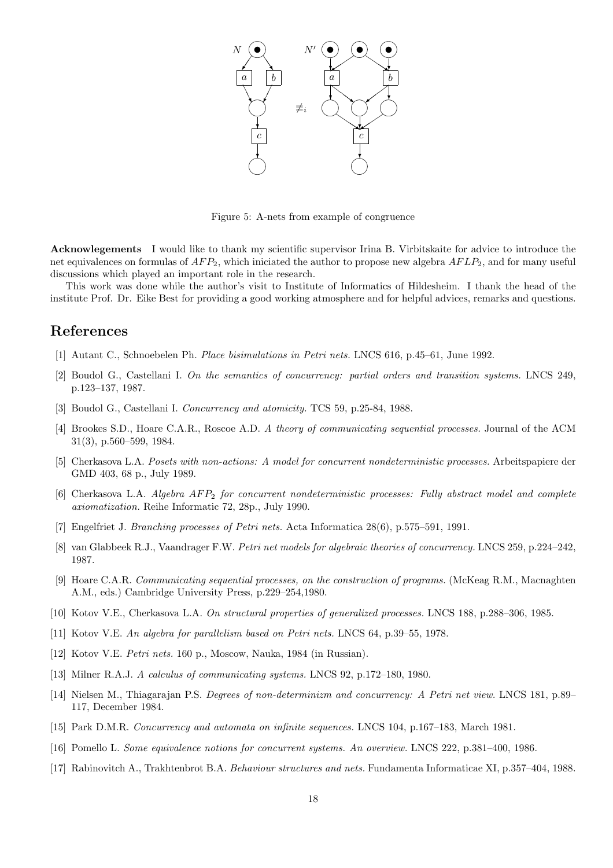

Figure 5: A-nets from example of congruence

Acknowlegements I would like to thank my scientific supervisor Irina B. Virbitskaite for advice to introduce the net equivalences on formulas of  $AFP_2$ , which iniciated the author to propose new algebra  $AFLP_2$ , and for many useful discussions which played an important role in the research.

This work was done while the author's visit to Institute of Informatics of Hildesheim. I thank the head of the institute Prof. Dr. Eike Best for providing a good working atmosphere and for helpful advices, remarks and questions.

# References

- [1] Autant C., Schnoebelen Ph. Place bisimulations in Petri nets. LNCS 616, p.45–61, June 1992.
- [2] Boudol G., Castellani I. On the semantics of concurrency: partial orders and transition systems. LNCS 249, p.123–137, 1987.
- [3] Boudol G., Castellani I. Concurrency and atomicity. TCS 59, p.25-84, 1988.
- [4] Brookes S.D., Hoare C.A.R., Roscoe A.D. A theory of communicating sequential processes. Journal of the ACM 31(3), p.560–599, 1984.
- [5] Cherkasova L.A. Posets with non-actions: A model for concurrent nondeterministic processes. Arbeitspapiere der GMD 403, 68 p., July 1989.
- [6] Cherkasova L.A. Algebra  $AFP_2$  for concurrent nondeterministic processes: Fully abstract model and complete axiomatization. Reihe Informatic 72, 28p., July 1990.
- [7] Engelfriet J. Branching processes of Petri nets. Acta Informatica 28(6), p.575–591, 1991.
- [8] van Glabbeek R.J., Vaandrager F.W. Petri net models for algebraic theories of concurrency. LNCS 259, p.224–242, 1987.
- [9] Hoare C.A.R. Communicating sequential processes, on the construction of programs. (McKeag R.M., Macnaghten A.M., eds.) Cambridge University Press, p.229–254,1980.
- [10] Kotov V.E., Cherkasova L.A. On structural properties of generalized processes. LNCS 188, p.288–306, 1985.
- [11] Kotov V.E. An algebra for parallelism based on Petri nets. LNCS 64, p.39–55, 1978.
- [12] Kotov V.E. Petri nets. 160 p., Moscow, Nauka, 1984 (in Russian).
- [13] Milner R.A.J. A calculus of communicating systems. LNCS 92, p.172–180, 1980.
- [14] Nielsen M., Thiagarajan P.S. Degrees of non-determinizm and concurrency: A Petri net view. LNCS 181, p.89– 117, December 1984.
- [15] Park D.M.R. Concurrency and automata on infinite sequences. LNCS 104, p.167–183, March 1981.
- [16] Pomello L. Some equivalence notions for concurrent systems. An overview. LNCS 222, p.381–400, 1986.
- [17] Rabinovitch A., Trakhtenbrot B.A. Behaviour structures and nets. Fundamenta Informaticae XI, p.357–404, 1988.